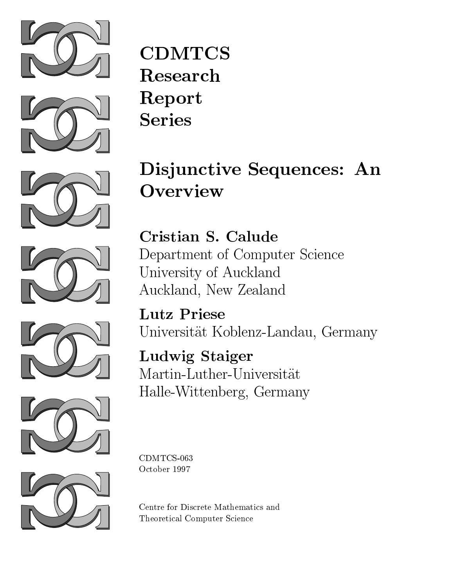





# Disjunctive Sequences: An **Overview**

Cristian S. Calude Department of Computer Science University of Auckland Auckland, New Zealand

Lutz Priese Universitat Koblenz-Landau, Germany

Ludwig Staiger Martin-Luther-Universitat Halle-Wittenberg, Germany

CDMTCS-063 October 1997

Centre for Discrete Mathematics and Theoretical Computer Science







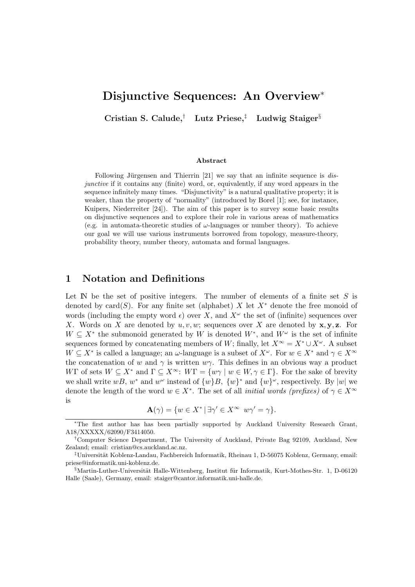# **Disjunctive Sequences: An Overview**<sup>∗</sup>

**Cristian S. Calude,**† **Lutz Priese,**‡ **Ludwig Staiger**§

#### **Abstract**

Following Jürgensen and Thierrin  $[21]$  we say that an infinite sequence is *dis*junctive if it contains any (finite) word, or, equivalently, if any word appears in the sequence infinitely many times. "Disjunctivity" is a natural qualitative property; it is weaker, than the property of "normality" (introduced by Borel [1]; see, for instance, Kuipers, Niederreiter [24]). The aim of this paper is to survey some basic results on disjunctive sequences and to explore their role in various areas of mathematics (e.g. in automata-theoretic studies of  $\omega$ -languages or number theory). To achieve our goal we will use various instruments borrowed from topology, measure-theory, probability theory, number theory, automata and formal languages.

## **1 Notation and Definitions**

Let  $\mathbb N$  be the set of positive integers. The number of elements of a finite set  $S$  is denoted by card(S). For any finite set (alphabet) X let  $X^*$  denote the free monoid of words (including the empty word  $\epsilon$ ) over X, and  $X^{\omega}$  the set of (infinite) sequences over X. Words on X are denoted by u, v, w; sequences over X are denoted by **x**, **y**, **z**. For  $W \subseteq X^*$  the submonoid generated by W is denoted  $W^*$ , and  $W^{\omega}$  is the set of infinite sequences formed by concatenating members of W; finally, let  $X^{\infty} = X^* \cup X^{\omega}$ . A subset  $W \subseteq X^*$  is called a language; an  $\omega$ -language is a subset of  $X^{\omega}$ . For  $w \in X^*$  and  $\gamma \in X^{\infty}$ the concatenation of w and  $\gamma$  is written  $w\gamma$ . This defines in an obvious way a product WΓ of sets  $W \subseteq X^*$  and  $\Gamma \subseteq X^\infty$ :  $W\Gamma = \{w\gamma \mid w \in W, \gamma \in \Gamma\}$ . For the sake of brevity we shall write wB, w<sup>∗</sup> and w<sup>ω</sup> instead of  $\{w\}B$ ,  $\{w\}^*$  and  $\{w\}^{\omega}$ , respectively. By |w| we denote the length of the word  $w \in X^*$ . The set of all *initial words (prefixes)* of  $\gamma \in X^{\infty}$ is

$$
\mathbf{A}(\gamma) = \{ w \in X^* \, | \, \exists \gamma' \in X^\infty \, w \gamma' = \gamma \}.
$$

<sup>∗</sup>The first author has has been partially supported by Auckland University Research Grant, A18/XXXXX/62090/F3414050.

<sup>†</sup>Computer Science Department, The University of Auckland, Private Bag 92109, Auckland, New Zealand; email: cristian@cs.auckland.ac.nz.

<sup>&</sup>lt;sup>‡</sup>Universität Koblenz-Landau, Fachbereich Informatik, Rheinau 1, D-56075 Koblenz, Germany, email: priese@informatik.uni-koblenz.de.

 $\S$ Martin-Luther-Universität Halle-Wittenberg, Institut für Informatik, Kurt-Mothes-Str. 1, D-06120 Halle (Saale), Germany, email: staiger@cantor.informatik.uni-halle.de.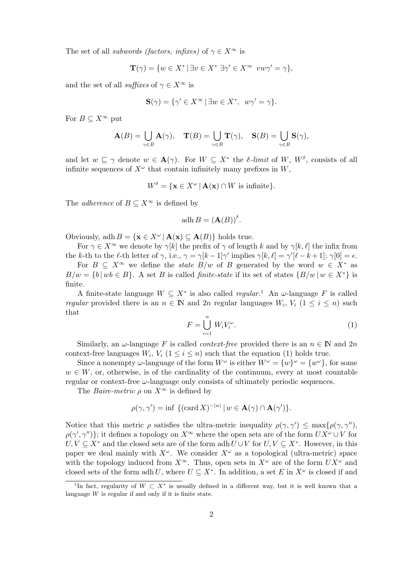The set of all *subwords (factors, infixes)* of  $\gamma \in X^{\infty}$  is

$$
\mathbf{T}(\gamma) = \{ w \in X^* \mid \exists v \in X^* \; \exists \gamma' \in X^\infty \; vw\gamma' = \gamma \},
$$

and the set of all *suffixes* of  $\gamma \in X^{\infty}$  is

$$
\mathbf{S}(\gamma) = \{ \gamma' \in X^{\infty} \, | \, \exists w \in X^*, \, w\gamma' = \gamma \}.
$$

For  $B \subset X^{\infty}$  put

$$
\mathbf{A}(B) = \bigcup_{\gamma \in B} \mathbf{A}(\gamma), \quad \mathbf{T}(B) = \bigcup_{\gamma \in B} \mathbf{T}(\gamma), \quad \mathbf{S}(B) = \bigcup_{\gamma \in B} \mathbf{S}(\gamma),
$$

and let  $w \subseteq \gamma$  denote  $w \in \mathbf{A}(\gamma)$ . For  $W \subseteq X^*$  the *δ*-limit of W,  $W^{\delta}$ , consists of all infinite sequences of  $X^{\omega}$  that contain infinitely many prefixes in W,

$$
W^{\delta} = \{ \mathbf{x} \in X^{\omega} \, | \, \mathbf{A}(\mathbf{x}) \cap W \text{ is infinite} \}.
$$

The *adherence* of  $B \subseteq X^{\infty}$  is defined by

$$
adh B = (\mathbf{A}(B))^{\delta}.
$$

Obviously, adh  $B = \{ \mathbf{x} \in X^{\omega} \mid \mathbf{A}(\mathbf{x}) \subseteq \mathbf{A}(B) \}$  holds true.

For  $\gamma \in X^{\infty}$  we denote by  $\gamma[k]$  the prefix of  $\gamma$  of length k and by  $\gamma[k, \ell]$  the infix from the k-th to the  $\ell$ -th letter of  $\gamma$ , i.e.,  $\gamma = \gamma[k-1]\gamma'$  implies  $\gamma[k,\ell] = \gamma'[\ell-k+1]$ ;  $\gamma[0] = \epsilon$ .

For  $B \subseteq X^{\infty}$  we define the *state*  $B/w$  of B generated by the word  $w \in X^*$  as  $B/w = \{b \mid wb \in B\}$ . A set B is called *finite-state* if its set of states  $\{B/w \mid w \in X^*\}$  is finite.

A finite-state language  $W \subseteq X^*$  is also called regular.<sup>1</sup> An  $\omega$ -language F is called regular provided there is an  $n \in \mathbb{N}$  and  $2n$  regular languages  $W_i, V_i$   $(1 \leq i \leq n)$  such that

$$
F = \bigcup_{i=1}^{n} W_i V_i^{\omega}.
$$
 (1)

Similarly, an  $\omega$ -language F is called *context-free* provided there is an  $n \in \mathbb{N}$  and  $2n$ context-free languages  $W_i$ ,  $V_i$  ( $1 \leq i \leq n$ ) such that the equation (1) holds true.

Since a nonempty  $\omega$ -language of the form  $W^{\omega}$  is either  $W^{\omega} = \{w\}^{\omega} = \{w^{\omega}\}\,$  for some  $w \in W$ , or, otherwise, is of the cardinality of the continuum, every at most countable regular or context-free  $\omega$ -language only consists of ultimately periodic sequences.

The *Baire-metric*  $\rho$  on  $X^{\infty}$  is defined by

$$
\rho(\gamma, \gamma') = \inf \{ (\text{card } X)^{-|w|} \mid w \in \mathbf{A}(\gamma) \cap \mathbf{A}(\gamma') \}.
$$

Notice that this metric  $\rho$  satisfies the ultra-metric inequality  $\rho(\gamma, \gamma') \leq \max{\rho(\gamma, \gamma'')}$ ,  $\rho(\gamma', \gamma'')\}$ ; it defines a topology on  $X^{\infty}$  where the open sets are of the form  $UX^{\omega} \cup V$  for  $U, V \subseteq X^*$  and the closed sets are of the form adh  $U \cup V$  for  $U, V \subseteq X^*$ . However, in this paper we deal mainly with  $X^{\omega}$ . We consider  $X^{\omega}$  as a topological (ultra-metric) space with the topology induced from  $X^{\infty}$ . Thus, open sets in  $X^{\omega}$  are of the form  $UX^{\omega}$  and closed sets of the form adh U, where  $U \subseteq X^*$ . In addition, a set E in  $X^{\omega}$  is closed if and

<sup>&</sup>lt;sup>1</sup>In fact, regularity of  $W \subset X^*$  is usually defined in a different way, but it is well known that a language  $W$  is regular if and only if it is finite state.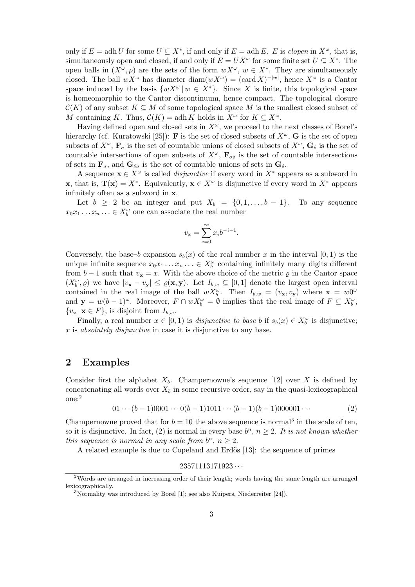only if  $E = adh U$  for some  $U \subseteq X^*$ , if and only if  $E = adh E$ . E is *clopen* in  $X^{\omega}$ , that is, simultaneously open and closed, if and only if  $E = U X^{\omega}$  for some finite set  $U \subseteq X^*$ . The open balls in  $(X^{\omega}, \rho)$  are the sets of the form  $wX^{\omega}$ ,  $w \in X^*$ . They are simultaneously closed. The ball  $wX^{\omega}$  has diameter diam $(wX^{\omega}) = (\text{card } X)^{-|w|}$ , hence  $X^{\omega}$  is a Cantor space induced by the basis  $\{wX^{\omega} | w \in X^*\}$ . Since X is finite, this topological space is homeomorphic to the Cantor discontinuum, hence compact. The topological closure  $\mathcal{C}(K)$  of any subset  $K \subseteq M$  of some topological space M is the smallest closed subset of M containing K. Thus,  $\mathcal{C}(K) = \operatorname{adh} K$  holds in  $X^{\omega}$  for  $K \subseteq X^{\omega}$ .

Having defined open and closed sets in  $X^{\omega}$ , we proceed to the next classes of Borel's hierarchy (cf. Kuratowski [25]): **F** is the set of closed subsets of  $X^{\omega}$ , **G** is the set of open subsets of  $X^{\omega}$ ,  $\mathbf{F}_{\sigma}$  is the set of countable unions of closed subsets of  $X^{\omega}$ ,  $\mathbf{G}_{\delta}$  is the set of countable intersections of open subsets of  $X^{\omega}$ ,  $\mathbf{F}_{\sigma\delta}$  is the set of countable intersections of sets in  $\mathbf{F}_{\sigma}$ , and  $\mathbf{G}_{\delta\sigma}$  is the set of countable unions of sets in  $\mathbf{G}_{\delta}$ .

A sequence  $\mathbf{x} \in X^\omega$  is called *disjunctive* if every word in  $X^*$  appears as a subword in **x**, that is,  $\mathbf{T}(\mathbf{x}) = X^*$ . Equivalently,  $\mathbf{x} \in X^\omega$  is disjunctive if every word in  $X^*$  appears infinitely often as a subword in **x**.

Let  $b \geq 2$  be an integer and put  $X_b = \{0, 1, \ldots, b-1\}$ . To any sequence  $x_0x_1 \ldots x_n \ldots \in X_b^{\omega}$  one can associate the real number

$$
v_{\mathbf{x}} = \sum_{i=0}^{\infty} x_i b^{-i-1}.
$$

Conversely, the base–b expansion  $s<sub>b</sub>(x)$  of the real number x in the interval [0, 1) is the unique infinite sequence  $x_0x_1 \ldots x_n \ldots \in X_b^{\omega}$  containing infinitely many digits different from  $b-1$  such that  $v_x = x$ . With the above choice of the metric  $\varrho$  in the Cantor space  $(X_b^{\omega}, \varrho)$  we have  $|v_x - v_y| \leq \varrho(x, y)$ . Let  $I_{b,w} \subseteq [0, 1]$  denote the largest open interval contained in the real image of the ball  $wX_b^{\omega}$ . Then  $I_{b,w} = (v_x, v_y)$  where  $\mathbf{x} = w0^{\omega}$ and  $\mathbf{y} = w(b-1)^\omega$ . Moreover,  $F \cap wX_b^\omega = \emptyset$  implies that the real image of  $F \subseteq X_b^\omega$ ,  $\{v_{\mathbf{x}} \mid \mathbf{x} \in F\}$ , is disjoint from  $I_{b,w}$ .

Finally, a real number  $x \in [0,1)$  is *disjunctive to base b* if  $s_b(x) \in X_b^{\omega}$  is disjunctive; x is absolutely disjunctive in case it is disjunctive to any base.

## **2 Examples**

Consider first the alphabet  $X_b$ . Champernowne's sequence [12] over X is defined by concatenating all words over  $X_b$  in some recursive order, say in the quasi-lexicographical one:<sup>2</sup>

$$
01\cdots(b-1)0001\cdots0(b-1)1011\cdots(b-1)(b-1)000001\cdots
$$
\n(2)

Champernowne proved that for  $b = 10$  the above sequence is normal<sup>3</sup> in the scale of ten, so it is disjunctive. In fact, (2) is normal in every base  $b^n$ ,  $n \geq 2$ . It is not known whether this sequence is normal in any scale from  $b^n$ ,  $n \geq 2$ .

A related example is due to Copeland and Erdös  $[13]$ : the sequence of primes

 $23571113171923\cdots$ 

<sup>2</sup>Words are arranged in increasing order of their length; words having the same length are arranged lexicographically.

 $3$ Normality was introduced by Borel [1]; see also Kuipers, Niederreiter [24]).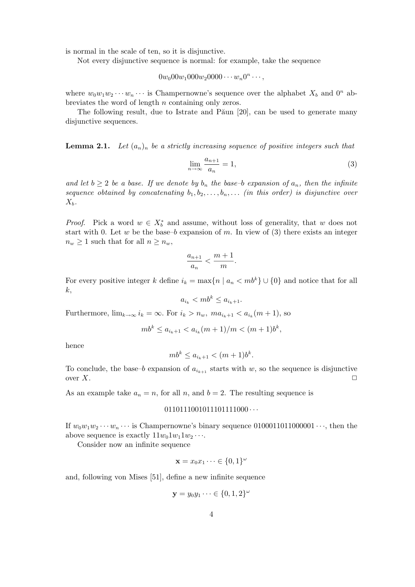is normal in the scale of ten, so it is disjunctive.

Not every disjunctive sequence is normal: for example, take the sequence

 $0w_000w_1000w_20000 \cdots w_n0^n \cdots,$ 

where  $w_0w_1w_2\cdots w_n\cdots$  is Champernowne's sequence over the alphabet  $X_b$  and  $0^n$  abbreviates the word of length n containing only zeros.

The following result, due to Istrate and Păun [20], can be used to generate many disjunctive sequences.

**Lemma 2.1.** Let  $(a_n)_n$  be a strictly increasing sequence of positive integers such that

$$
\lim_{n \to \infty} \frac{a_{n+1}}{a_n} = 1,\tag{3}
$$

and let  $b \geq 2$  be a base. If we denote by  $b_n$  the base–b expansion of  $a_n$ , then the infinite sequence obtained by concatenating  $b_1, b_2, \ldots, b_n, \ldots$  (in this order) is disjunctive over  $X_b$ .

*Proof.* Pick a word  $w \in X_b^*$  and assume, without loss of generality, that w does not start with 0. Let w be the base–b expansion of m. In view of  $(3)$  there exists an integer  $n_w \geq 1$  such that for all  $n \geq n_w$ ,

$$
\frac{a_{n+1}}{a_n} < \frac{m+1}{m}.
$$

For every positive integer k define  $i_k = \max\{n \mid a_n < mb^k\} \cup \{0\}$  and notice that for all k,

$$
a_{i_k} < mb^k \le a_{i_k+1}.
$$

Furthermore,  $\lim_{k\to\infty} i_k = \infty$ . For  $i_k > n_w$ ,  $ma_{i_k+1} < a_{i_k}(m+1)$ , so

$$
mb^k \le a_{i_k+1} < a_{i_k}(m+1)/m < (m+1)b^k,
$$

hence

$$
mb^k \le a_{i_k+1} < (m+1)b^k.
$$

To conclude, the base–b expansion of  $a_{i_{k+1}}$  starts with w, so the sequence is disjunctive over X. over  $X$ .

As an example take  $a_n = n$ , for all n, and  $b = 2$ . The resulting sequence is

#### $0110111001011101111000...$

If  $w_0w_1w_2\cdots w_n\cdots$  is Champernowne's binary sequence 0100011011000001 $\cdots$ , then the above sequence is exactly  $11w_01w_11w_2 \cdots$ .

Consider now an infinite sequence

$$
\mathbf{x} = x_0 x_1 \dots \in \{0, 1\}^\omega
$$

and, following von Mises [51], define a new infinite sequence

$$
\mathbf{y} = y_0 y_1 \cdots \in \{0, 1, 2\}^\omega
$$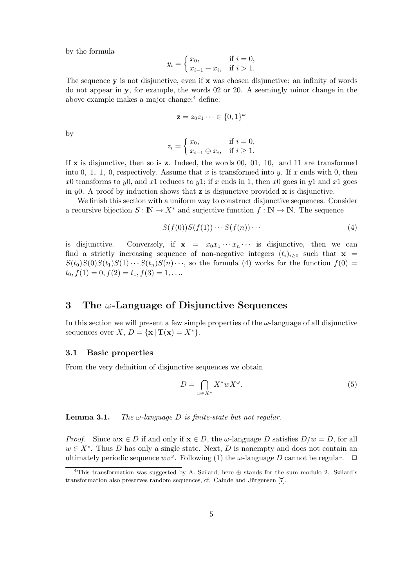by the formula

$$
y_i = \begin{cases} x_0, & \text{if } i = 0, \\ x_{i-1} + x_i, & \text{if } i > 1. \end{cases}
$$

The sequence **y** is not disjunctive, even if **x** was chosen disjunctive: an infinity of words do not appear in **y**, for example, the words 02 or 20. A seemingly minor change in the above example makes a major change; $4$  define:

$$
\mathbf{z} = z_0 z_1 \cdots \in \{0, 1\}^\omega
$$

by

$$
z_i = \begin{cases} x_0, & \text{if } i = 0, \\ x_{i-1} \oplus x_i, & \text{if } i \ge 1. \end{cases}
$$

If **x** is disjunctive, then so is **z**. Indeed, the words 00, 01, 10, and 11 are transformed into 0, 1, 1, 0, respectively. Assume that x is transformed into y. If x ends with 0, then x0 transforms to y0, and x1 reduces to y1; if x ends in 1, then x0 goes in y1 and x1 goes in  $y_0$ . A proof by induction shows that **z** is disjunctive provided **x** is disjunctive.

We finish this section with a uniform way to construct disjunctive sequences. Consider a recursive bijection  $S : \mathbb{N} \to X^*$  and surjective function  $f : \mathbb{N} \to \mathbb{N}$ . The sequence

$$
S(f(0))S(f(1))\cdots S(f(n))\cdots \qquad (4)
$$

is disjunctive. Conversely, if  $\mathbf{x} = x_0 x_1 \cdots x_n \cdots$  is disjunctive, then we can find a strictly increasing sequence of non-negative integers  $(t_i)_{i\geq0}$  such that **x** =  $S(t_0)S(0)S(t_1)S(1)\cdots S(t_n)S(n)\cdots$ , so the formula (4) works for the function  $f(0)$  =  $t_0, f(1) = 0, f(2) = t_1, f(3) = 1, \ldots$ 

## **3 The** ω**-Language of Disjunctive Sequences**

In this section we will present a few simple properties of the  $\omega$ -language of all disjunctive sequences over  $X, D = \{ \mathbf{x} \mid \mathbf{T}(\mathbf{x}) = X^* \}.$ 

#### **3.1 Basic properties**

From the very definition of disjunctive sequences we obtain

$$
D = \bigcap_{w \in X^*} X^* w X^{\omega}.
$$
\n<sup>(5)</sup>

**Lemma 3.1.** The  $\omega$ -language  $D$  is finite-state but not regular.

*Proof.* Since  $w\mathbf{x} \in D$  if and only if  $\mathbf{x} \in D$ , the  $\omega$ -language D satisfies  $D/w = D$ , for all  $w \in X^*$ . Thus D has only a single state. Next, D is nonempty and does not contain an ultimately periodic sequence  $wv^{\omega}$ . Following (1) the  $\omega$ -language D cannot be regular.  $\Box$ 

<sup>&</sup>lt;sup>4</sup>This transformation was suggested by A. Szilard; here  $\oplus$  stands for the sum modulo 2. Szilard's transformation also preserves random sequences, cf. Calude and Jürgensen [7].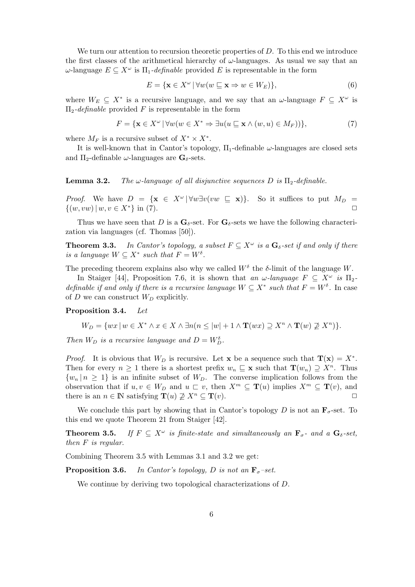We turn our attention to recursion theoretic properties of  $D$ . To this end we introduce the first classes of the arithmetical hierarchy of  $\omega$ -languages. As usual we say that an  $ω$ -language  $E \subseteq X^{\omega}$  is  $\Pi_1$ -definable provided E is representable in the form

$$
E = \{ \mathbf{x} \in X^{\omega} \mid \forall w (w \sqsubseteq \mathbf{x} \Rightarrow w \in W_E) \},\tag{6}
$$

where  $W_E \subseteq X^*$  is a recursive language, and we say that an  $\omega$ -language  $F \subseteq X^{\omega}$  is  $\Pi_2$ -definable provided F is representable in the form

$$
F = \{ \mathbf{x} \in X^{\omega} \mid \forall w (w \in X^* \Rightarrow \exists u (u \sqsubseteq \mathbf{x} \land (w, u) \in M_F)) \},\tag{7}
$$

where  $M_F$  is a recursive subset of  $X^* \times X^*$ .

It is well-known that in Cantor's topology,  $\Pi_1$ -definable  $\omega$ -languages are closed sets and  $\Pi_2$ -definable  $\omega$ -languages are  $\mathbf{G}_{\delta}$ -sets.

#### **Lemma 3.2.** The  $\omega$ -language of all disjunctive sequences D is  $\Pi_2$ -definable.

*Proof.* We have  $D = {\mathbf{x} \in X^{\omega} | \forall w \exists v (vw \subseteq \mathbf{x}) }$ . So it suffices to put  $M_D =$  $\{(w, vw) \mid w, v \in X^*\}\$ in (7).

Thus we have seen that D is a  $\mathbf{G}_{\delta}$ -set. For  $\mathbf{G}_{\delta}$ -sets we have the following characterization via languages (cf. Thomas [50]).

**Theorem 3.3.** In Cantor's topology, a subset  $F \subseteq X^{\omega}$  is a  $\mathbf{G}_{\delta}$ -set if and only if there is a language  $W \subseteq X^*$  such that  $F = W^{\delta}$ .

The preceding theorem explains also why we called  $W^{\delta}$  the  $\delta$ -limit of the language W.

In Staiger [44], Proposition 7.6, it is shown that an  $\omega$ -language  $F \subseteq X^{\omega}$  is  $\Pi_2$ definable if and only if there is a recursive language  $W \subseteq X^*$  such that  $F = W^{\delta}$ . In case of D we can construct  $W_D$  explicitly.

#### **Proposition 3.4.** Let

$$
W_D = \{ wx \mid w \in X^* \land x \in X \land \exists n (n \leq |w| + 1 \land \mathbf{T}(wx) \supseteq X^n \land \mathbf{T}(w) \not\supseteq X^n) \}.
$$

Then  $W_D$  is a recursive language and  $D = W_D^{\delta}$ .

*Proof.* It is obvious that  $W_D$  is recursive. Let **x** be a sequence such that  $\mathbf{T}(\mathbf{x}) = X^*$ . Then for every  $n \geq 1$  there is a shortest prefix  $w_n \subseteq \mathbf{x}$  such that  $\mathbf{T}(w_n) \supseteq X^n$ . Thus  ${w_n | n \geq 1}$  is an infinite subset of  $W_D$ . The converse implication follows from the observation that if  $u, v \in W_D$  and  $u \subset v$ , then  $X^m \subseteq \mathbf{T}(u)$  implies  $X^m \subseteq \mathbf{T}(v)$ , and there is an  $n \in \mathbb{N}$  satisfying  $\mathbf{T}(u) \not\supseteq X^n \subseteq \mathbf{T}(v)$ .

We conclude this part by showing that in Cantor's topology  $D$  is not an  $\mathbf{F}_{\sigma}$ -set. To this end we quote Theorem 21 from Staiger [42].

**Theorem 3.5.** If  $F \subseteq X^{\omega}$  is finite-state and simultaneously an  $\mathbf{F}_{\sigma}$ - and a  $\mathbf{G}_{\delta}$ -set, then F is regular.

Combining Theorem 3.5 with Lemmas 3.1 and 3.2 we get:

**Proposition 3.6.** In Cantor's topology, D is not an  $\mathbf{F}_{\sigma}$ -set.

We continue by deriving two topological characterizations of D.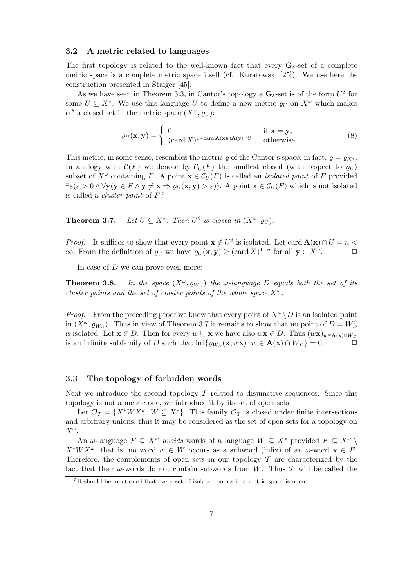#### **3.2 A metric related to languages**

The first topology is related to the well-known fact that every  $\mathbf{G}_{\delta}$ -set of a complete metric space is a complete metric space itself (cf. Kuratowski [25]). We use here the construction presented in Staiger [45].

As we have seen in Theorem 3.3, in Cantor's topology a  $\mathbf{G}_{\delta}$ -set is of the form  $U^{\delta}$  for some  $U \subset X^*$ . We use this language U to define a new metric  $\rho_U$  on  $X^{\omega}$  which makes  $U^{\delta}$  a closed set in the metric space  $(X^{\omega}, \rho_{U})$ :

$$
\varrho_U(\mathbf{x}, \mathbf{y}) = \begin{cases} 0 & , \text{ if } \mathbf{x} = \mathbf{y}, \\ (\operatorname{card} X)^{1 - \operatorname{card} \mathbf{A}(\mathbf{x}) \cap \mathbf{A}(\mathbf{y}) \cap U} & , \text{ otherwise.} \end{cases}
$$
(8)

This metric, in some sense, resembles the metric  $\rho$  of the Cantor's space; in fact,  $\rho = \rho_{X^*}$ . In analogy with  $\mathcal{C}(F)$  we denote by  $\mathcal{C}_U(F)$  the smallest closed (with respect to  $\varrho_U$ ) subset of  $X^{\omega}$  containing F. A point  $\mathbf{x} \in \mathcal{C}_U(F)$  is called an *isolated point* of F provided  $\exists \varepsilon (\varepsilon > 0 \land \forall \mathbf{y} (\mathbf{y} \in F \land \mathbf{y} \neq \mathbf{x} \Rightarrow \varrho_U(\mathbf{x}, \mathbf{y}) > \varepsilon)).$  A point  $\mathbf{x} \in \mathcal{C}_U(F)$  which is not isolated is called a *cluster point* of  $F$ <sup>5</sup>.

**Theorem 3.7.** Let  $U \subseteq X^*$ . Then  $U^{\delta}$  is closed in  $(X^{\omega}, \rho_U)$ .

*Proof.* It suffices to show that every point  $\mathbf{x} \notin U^{\delta}$  is isolated. Let card  $\mathbf{A}(\mathbf{x}) \cap U = n <$ ∞. From the definition of  $\varrho_U$  we have  $\varrho_U(\mathbf{x}, \mathbf{y}) \geq (\text{card } X)^{1-n}$  for all  $\mathbf{y} \in X^\omega$ .  $\Box$ 

In case of  $D$  we can prove even more:

**Theorem 3.8.** In the space  $(X^{\omega}, \varrho_{W_D})$  the  $\omega$ -language D equals both the set of its cluster points and the set of cluster points of the whole space  $X^{\omega}$ .

*Proof.* From the preceding proof we know that every point of  $X^{\omega} \backslash D$  is an isolated point in  $(X^{\omega}, \varrho_{W_D})$ . Thus in view of Theorem 3.7 it remains to show that no point of  $D = W_D^{\delta}$ is isolated. Let  $\mathbf{x} \in D$ . Then for every  $w \subseteq \mathbf{x}$  we have also  $w\mathbf{x} \in D$ . Thus  $(w\mathbf{x})_{w \in \mathbf{A}(\mathbf{x}) \cap W_D}$ is an infinite subfamily of D such that  $\inf{\{\varrho_{W_D}(\mathbf{x}, w\mathbf{x}) \mid w \in \mathbf{A}(\mathbf{x}) \cap W_D\}} = 0.$   $\Box$ 

#### **3.3 The topology of forbidden words**

Next we introduce the second topology  $\mathcal T$  related to disjunctive sequences. Since this topology is not a metric one, we introduce it by its set of open sets.

Let  $\mathcal{O}_{\tau} = \{X^*WX^{\omega} | W \subseteq X^*\}$ . This family  $\mathcal{O}_{\tau}$  is closed under finite intersections and arbitrary unions, thus it may be considered as the set of open sets for a topology on  $X^{\omega}.$ 

An  $\omega$ -language  $F \subseteq X^{\omega}$  avoids words of a language  $W \subseteq X^*$  provided  $F \subseteq X^{\omega} \setminus$  $X^*WX^{\omega}$ , that is, no word  $w \in W$  occurs as a subword (infix) of an  $\omega$ -word  $\mathbf{x} \in F$ . Therefore, the complements of open sets in our topology  $\mathcal T$  are characterized by the fact that their  $\omega$ -words do not contain subwords from W. Thus T will be called the

<sup>&</sup>lt;sup>5</sup>It should be mentioned that every set of isolated points in a metric space is open.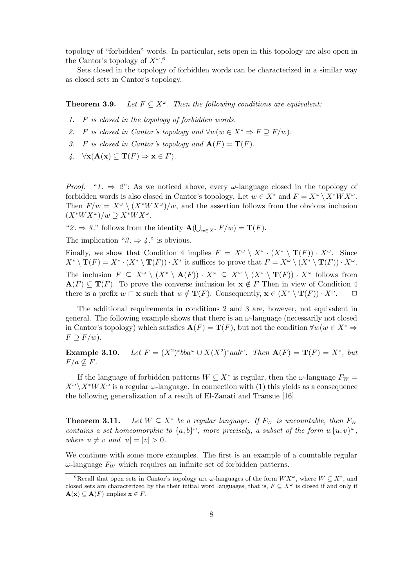topology of "forbidden" words. In particular, sets open in this topology are also open in the Cantor's topology of  $X^{\omega}$ .<sup>6</sup>

Sets closed in the topology of forbidden words can be characterized in a similar way as closed sets in Cantor's topology.

**Theorem 3.9.** Let  $F \subset X^\omega$ . Then the following conditions are equivalent:

- 1. F is closed in the topology of forbidden words.
- 2. F is closed in Cantor's topology and  $\forall w (w \in X^* \Rightarrow F \supseteq F/w)$ .
- 3. F is closed in Cantor's topology and  $\mathbf{A}(F) = \mathbf{T}(F)$ .
- $\forall$ **x**( $\mathbf{A}(\mathbf{x}) \subseteq \mathbf{T}(F) \Rightarrow \mathbf{x} \in F$ ).

*Proof.* " $1. \Rightarrow 2$ ": As we noticed above, every  $\omega$ -language closed in the topology of forbidden words is also closed in Cantor's topology. Let  $w \in X^*$  and  $F = X^{\omega} \setminus X^*WX^{\omega}$ . Then  $F/w = X^{\omega} \setminus (X^*WX^{\omega})/w$ , and the assertion follows from the obvious inclusion  $(X^*WX^{\omega})/w \supseteq X^*WX^{\omega}.$ 

" $2 \Rightarrow 3$ ." follows from the identity  $\mathbf{A}(\bigcup_{w \in X^*} F/w) = \mathbf{T}(F)$ .

The implication "3.  $\Rightarrow$  4." is obvious.

Finally, we show that Condition 4 implies  $F = X^{\omega} \setminus X^* \cdot (X^* \setminus \mathbf{T}(F)) \cdot X^{\omega}$ . Since  $X^* \setminus \mathbf{T}(F) = X^* \cdot (X^* \setminus \mathbf{T}(F)) \cdot X^*$  it suffices to prove that  $F = X^\omega \setminus (X^* \setminus \mathbf{T}(F)) \cdot X^\omega$ . The inclusion  $F \subseteq X^{\omega} \setminus (X^* \setminus \mathbf{A}(F)) \cdot X^{\omega} \subseteq X^{\omega} \setminus (X^* \setminus \mathbf{T}(F)) \cdot X^{\omega}$  follows from  ${\bf A}(F) \subseteq {\bf T}(F)$ . To prove the converse inclusion let  ${\bf x} \notin F$  Then in view of Condition 4 there is a prefix  $w \subset \mathbf{x}$  such that  $w \notin \mathbf{T}(F)$ . Consequently,  $\mathbf{x} \in (X^* \setminus \mathbf{T}(F)) \cdot X^{\omega}$ .  $\Box$ 

The additional requirements in conditions 2 and 3 are, however, not equivalent in general. The following example shows that there is an  $\omega$ -language (necessarily not closed in Cantor's topology) which satisfies  $\mathbf{A}(F) = \mathbf{T}(F)$ , but not the condition  $\forall w(w \in X^* \Rightarrow$  $F \supseteq F/w$ ).

**Example 3.10.** Let  $F = (X^2)^* bba^\omega \cup X(X^2)^* aab^\omega$ . Then  $A(F) = T(F) = X^*$ , but  $F/a \nsubseteq F$ .

If the language of forbidden patterns  $W \subseteq X^*$  is regular, then the  $\omega$ -language  $F_W =$  $X^{\omega} \backslash X^*WX^{\omega}$  is a regular  $\omega$ -language. In connection with (1) this yields as a consequence the following generalization of a result of El-Zanati and Transue [16].

**Theorem 3.11.** Let  $W \subseteq X^*$  be a regular language. If  $F_W$  is uncountable, then  $F_W$ contains a set homeomorphic to  $\{a, b\}^{\omega}$ , more precisely, a subset of the form  $w\{u, v\}^{\omega}$ , where  $u \neq v$  and  $|u| = |v| > 0$ .

We continue with some more examples. The first is an example of a countable regular  $\omega$ -language  $F_W$  which requires an infinite set of forbidden patterns.

<sup>&</sup>lt;sup>6</sup>Recall that open sets in Cantor's topology are  $\omega$ -languages of the form  $WX^{\omega}$ , where  $W \subseteq X^*$ , and closed sets are characterized by the their initial word languages, that is,  $F \subseteq X^\omega$  is closed if and only if **A**(**x**) ⊆ **A**(*F*) implies **x** ∈ *F*.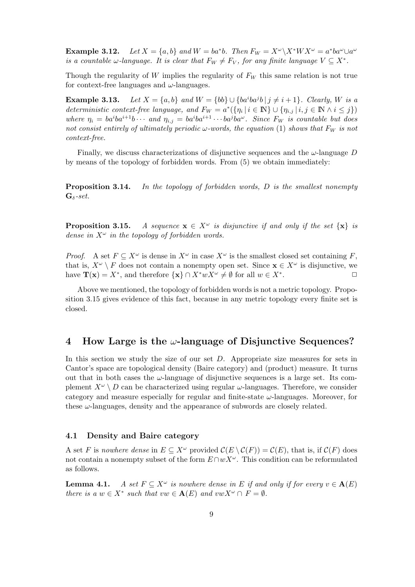**Example 3.12.** Let  $X = \{a, b\}$  and  $W = ba^*b$ . Then  $F_W = X^\omega \backslash X^*WX^\omega = a^*ba^\omega \cup a^\omega$ is a countable  $\omega$ -language. It is clear that  $F_W \neq F_V$ , for any finite language  $V \subseteq X^*$ .

Though the regularity of W implies the regularity of  $F_W$  this same relation is not true for context-free languages and  $\omega$ -languages.

**Example 3.13.** Let  $X = \{a, b\}$  and  $W = \{bb\} \cup \{ba^iba^jb \mid j \neq i+1\}$ . Clearly, W is a deterministic context-free language, and  $F_W = a^*({\{\eta_i | i \in \mathbb{N}\}\cup{\{\eta_{i,j} | i,j \in \mathbb{N} \land i \leq j\}}})$ where  $\eta_i = ba^iba^{i+1}b \cdots$  and  $\eta_{i,j} = ba^iba^{i+1} \cdots ba^jba^{\omega}$ . Since  $F_W$  is countable but does not consist entirely of ultimately periodic  $\omega$ -words, the equation (1) shows that  $F_W$  is not context-free.

Finally, we discuss characterizations of disjunctive sequences and the  $\omega$ -language D by means of the topology of forbidden words. From (5) we obtain immediately:

**Proposition 3.14.** In the topology of forbidden words, D is the smallest nonempty  $\mathbf{G}_{\delta}$ -set.

**Proposition 3.15.** A sequence  $\mathbf{x} \in X^{\omega}$  is disjunctive if and only if the set  $\{\mathbf{x}\}\$  is dense in  $X^{\omega}$  in the topology of forbidden words.

*Proof.* A set  $F \subseteq X^{\omega}$  is dense in  $X^{\omega}$  in case  $X^{\omega}$  is the smallest closed set containing F. that is,  $X^{\omega} \setminus F$  does not contain a nonempty open set. Since  $\mathbf{x} \in X^{\omega}$  is disjunctive, we have  $\mathbf{T}(\mathbf{x}) = X^*$ , and therefore  $\{\mathbf{x}\}\cap X^*wX^{\omega} \neq \emptyset$  for all  $w \in X^*$ .

Above we mentioned, the topology of forbidden words is not a metric topology. Proposition 3.15 gives evidence of this fact, because in any metric topology every finite set is closed.

## **4 How Large is the** ω**-language of Disjunctive Sequences?**

In this section we study the size of our set  $D$ . Appropriate size measures for sets in Cantor's space are topological density (Baire category) and (product) measure. It turns out that in both cases the  $\omega$ -language of disjunctive sequences is a large set. Its complement  $X^{\omega} \setminus D$  can be characterized using regular  $\omega$ -languages. Therefore, we consider category and measure especially for regular and finite-state  $\omega$ -languages. Moreover, for these  $\omega$ -languages, density and the appearance of subwords are closely related.

#### **4.1 Density and Baire category**

A set F is nowhere dense in  $E \subseteq X^{\omega}$  provided  $\mathcal{C}(E \setminus \mathcal{C}(F)) = \mathcal{C}(E)$ , that is, if  $\mathcal{C}(F)$  does not contain a nonempty subset of the form  $E \cap wX^{\omega}$ . This condition can be reformulated as follows.

**Lemma 4.1.** A set  $F \subseteq X^{\omega}$  is nowhere dense in E if and only if for every  $v \in A(E)$ there is a  $w \in X^*$  such that  $vw \in A(E)$  and  $vwX^{\omega} \cap F = \emptyset$ .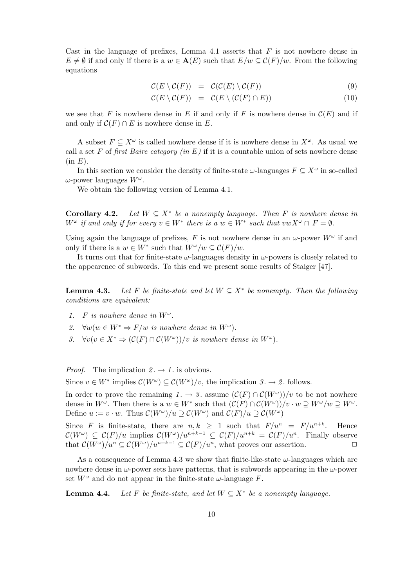Cast in the language of prefixes, Lemma 4.1 asserts that  $F$  is not nowhere dense in  $E \neq \emptyset$  if and only if there is a  $w \in \mathbf{A}(E)$  such that  $E/w \subseteq C(F)/w$ . From the following equations

$$
\mathcal{C}(E \setminus \mathcal{C}(F)) = \mathcal{C}(\mathcal{C}(E) \setminus \mathcal{C}(F)) \tag{9}
$$

$$
\mathcal{C}(E \setminus \mathcal{C}(F)) = \mathcal{C}(E \setminus (\mathcal{C}(F) \cap E)) \tag{10}
$$

we see that F is nowhere dense in E if and only if F is nowhere dense in  $\mathcal{C}(E)$  and if and only if  $\mathcal{C}(F) \cap E$  is nowhere dense in E.

A subset  $F \subseteq X^{\omega}$  is called nowhere dense if it is nowhere dense in  $X^{\omega}$ . As usual we call a set F of first Baire category (in E) if it is a countable union of sets nowhere dense  $(in E).$ 

In this section we consider the density of finite-state  $\omega$ -languages  $F \subseteq X^{\omega}$  in so-called  $ω$ -power languages  $W^ω$ .

We obtain the following version of Lemma 4.1.

**Corollary 4.2.** Let  $W \subseteq X^*$  be a nonempty language. Then F is nowhere dense in  $W^{\omega}$  if and only if for every  $v \in W^*$  there is a  $w \in W^*$  such that  $vwX^{\omega} \cap F = \emptyset$ .

Using again the language of prefixes, F is not nowhere dense in an  $\omega$ -power  $W^{\omega}$  if and only if there is a  $w \in W^*$  such that  $W^\omega/w \subset \mathcal{C}(F)/w$ .

It turns out that for finite-state  $\omega$ -languages density in  $\omega$ -powers is closely related to the appearence of subwords. To this end we present some results of Staiger [47].

**Lemma 4.3.** Let F be finite-state and let  $W \subseteq X^*$  be nonempty. Then the following conditions are equivalent:

- 1. F is nowhere dense in  $W^{\omega}$ .
- 2.  $\forall w (w \in W^* \Rightarrow F/w \text{ is nowhere dense in } W^{\omega}).$
- 3.  $\forall v (v \in X^* \Rightarrow (C(F) \cap C(W^{\omega})) / v \text{ is nowhere dense in } W^{\omega}).$

*Proof.* The implication  $2 \rightarrow 1$  is obvious.

Since  $v \in W^*$  implies  $\mathcal{C}(W^{\omega}) \subseteq \mathcal{C}(W^{\omega})/v$ , the implication  $\beta \to \mathcal{Z}$ . follows.

In order to prove the remaining  $1 \rightarrow 3$ . assume  $(\mathcal{C}(F) \cap \mathcal{C}(W^{\omega}))/v$  to be not nowhere dense in  $W^{\omega}$ . Then there is a  $w \in W^*$  such that  $(\mathcal{C}(F) \cap \mathcal{C}(W^{\omega}))/v \cdot w \supseteq W^{\omega}/w \supseteq W^{\omega}$ . Define  $u := v \cdot w$ . Thus  $\mathcal{C}(W^{\omega})/u \supseteq \mathcal{C}(W^{\omega})$  and  $\mathcal{C}(F)/u \supseteq \mathcal{C}(W^{\omega})$ 

Since F is finite-state, there are  $n, k \geq 1$  such that  $F/u^n = F/u^{n+k}$ . Hence  $\mathcal{C}(W^{\omega}) \subseteq \mathcal{C}(F)/u$  implies  $\mathcal{C}(W^{\omega})/u^{n+k-1} \subseteq \mathcal{C}(F)/u^{n+k} = \mathcal{C}(F)/u^n$ . Finally observe that  $\mathcal{C}(W^{\omega})/u^n \subseteq \mathcal{C}(W^{\omega})/u^{n+k-1} \subseteq \mathcal{C}(F)/u^n$ , what proves our assertion.  $\Box$ 

As a consequence of Lemma 4.3 we show that finite-like-state  $\omega$ -languages which are nowhere dense in  $\omega$ -power sets have patterns, that is subwords appearing in the  $\omega$ -power set  $W^{\omega}$  and do not appear in the finite-state  $\omega$ -language F.

**Lemma 4.4.** Let F be finite-state, and let  $W \subseteq X^*$  be a nonempty language.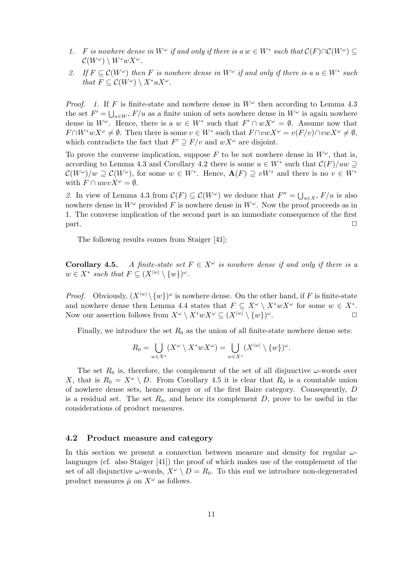- 1. F is nowhere dense in  $W^{\omega}$  if and only if there is a  $w \in W^*$  such that  $\mathcal{C}(F) \cap \mathcal{C}(W^{\omega}) \subseteq$  $\mathcal{C}(W^{\omega}) \setminus W^*wX^{\omega}.$
- 2. If  $F \subseteq \mathcal{C}(W^{\omega})$  then F is nowhere dense in  $W^{\omega}$  if and only if there is a  $u \in W^*$  such that  $F \subseteq \mathcal{C}(W^{\omega}) \setminus X^* u X^{\omega}$ .

*Proof.* 1. If F is finite-state and nowhere dense in  $W^{\omega}$  then according to Lemma 4.3 the set  $F' = \bigcup_{u \in W^*} F/u$  as a finite union of sets nowhere dense in  $W^{\omega}$  is again nowhere dense in  $W^{\omega}$ . Hence, there is a  $w \in W^*$  such that  $F' \cap wX^{\omega} = \emptyset$ . Assume now that  $F \cap W^* w X^\omega \neq \emptyset$ . Then there is some  $v \in W^*$  such that  $F \cap vw X^\omega = v(F/v) \cap vw X^\omega \neq \emptyset$ , which contradicts the fact that  $F' \supset F/v$  and  $wX^{\omega}$  are disjoint.

To prove the converse implication, suppose F to be not nowhere dense in  $W^{\omega}$ , that is, according to Lemma 4.3 and Corollary 4.2 there is some  $u \in W^*$  such that  $\mathcal{C}(F)/uw \supseteq$  $\mathcal{C}(W^{\omega})/w \supseteq \mathcal{C}(W^{\omega})$ , for some  $w \in W^*$ . Hence,  $\mathbf{A}(F) \supseteq vW^*$  and there is no  $v \in W^*$ with  $F \cap uwvX^{\omega} = \emptyset$ .

2. In view of Lemma 4.3 from  $\mathcal{C}(F) \subseteq \mathcal{C}(W^{\omega})$  we deduce that  $F'' = \bigcup_{u \in X^*} F/u$  is also nowhere dense in  $W^{\omega}$  provided F is nowhere dense in  $W^{\omega}$ . Now the proof proceeds as in 1. The converse implication of the second part is an immediate consequence of the first  $\Box$ 

The followng results comes from Staiger [41]:

**Corollary 4.5.** A finite-state set  $F \in X^{\omega}$  is nowhere dense if and only if there is a  $w \in X^*$  such that  $F \subseteq (X^{|w|} \setminus \{w\})^{\omega}$ .

*Proof.* Obviously,  $(X^{|w|}\setminus \{w\})^{\omega}$  is nowhere dense. On the other hand, if F is finite-state and nowhere dense then Lemma 4.4 states that  $F \subseteq X^{\omega} \setminus X^*wX^{\omega}$  for some  $w \in X^*$ . Now our assertion follows from  $X^{\omega} \setminus X^*wX^{\omega} \subseteq (X^{|w|} \setminus \{w\})^{\omega}$ .

Finally, we introduce the set  $R_0$  as the union of all finite-state nowhere dense sets:

$$
R_0 = \bigcup_{w \in X^*} (X^{\omega} \setminus X^* w X^{\omega}) = \bigcup_{w \in X^*} (X^{|w|} \setminus \{w\})^{\omega}.
$$

The set  $R_0$  is, therefore, the complement of the set of all disjunctive  $\omega$ -words over X, that is  $R_0 = X^{\omega} \setminus D$ . From Corollary 4.5 it is clear that  $R_0$  is a countable union of nowhere dense sets, hence meager or of the first Baire category. Consequently, D is a residual set. The set  $R_0$ , and hence its complement D, prove to be useful in the considerations of product measures.

#### **4.2 Product measure and category**

In this section we present a connection between measure and density for regular  $\omega$ languages (cf. also Staiger [41]) the proof of which makes use of the complement of the set of all disjunctive  $\omega$ -words,  $X^{\omega} \setminus D = R_0$ . To this end we introduce non-degenerated product measures  $\bar{\mu}$  on  $X^{\omega}$  as follows.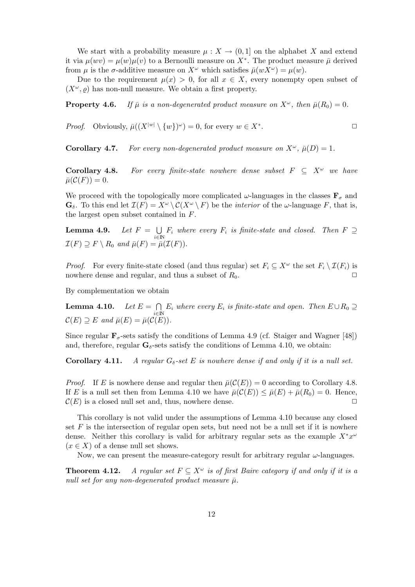We start with a probability measure  $\mu : X \to (0,1]$  on the alphabet X and extend it via  $\mu(wv) = \mu(w)\mu(v)$  to a Bernoulli measure on X<sup>\*</sup>. The product measure  $\bar{\mu}$  derived from  $\mu$  is the  $\sigma$ -additive measure on  $X^{\omega}$  which satisfies  $\bar{\mu}(wX^{\omega}) = \mu(w)$ .

Due to the requirement  $\mu(x) > 0$ , for all  $x \in X$ , every nonempty open subset of  $(X^{\omega}, \rho)$  has non-null measure. We obtain a first property.

**Property 4.6.** If  $\bar{\mu}$  is a non-degenerated product measure on  $X^{\omega}$ , then  $\bar{\mu}(R_0)=0$ .

*Proof.* Obviously,  $\bar{\mu}((X^{|w|} \setminus \{w\})^{\omega}) = 0$ , for every  $w \in X^*$ .

**Corollary 4.7.** For every non-degenerated product measure on  $X^{\omega}$ ,  $\bar{\mu}(D)=1$ .

**Corollary 4.8.** For every finite-state nowhere dense subset  $F \subseteq X^{\omega}$  we have  $\bar{\mu}(\mathcal{C}(F)) = 0.$ 

We proceed with the topologically more complicated  $\omega$ -languages in the classes  $\mathbf{F}_{\sigma}$  and  $\mathbf{G}_{\delta}$ . To this end let  $\mathcal{I}(F) = X^{\omega} \setminus \mathcal{C}(X^{\omega} \setminus F)$  be the *interior* of the  $\omega$ -language F, that is, the largest open subset contained in F.

**Lemma 4.9.** Let  $F = \bigcup_{i \in \mathbb{N}} F_i$  where every  $F_i$  is finite-state and closed. Then  $F \supseteq$  $\mathcal{I}(F) \supseteq F \setminus R_0$  and  $\bar{\mu}(F) = \bar{\mu}(\mathcal{I}(F)).$ 

*Proof.* For every finite-state closed (and thus regular) set  $F_i \subseteq X^\omega$  the set  $F_i \setminus \mathcal{I}(F_i)$  is nowhere dense and regular, and thus a subset of  $R_0$ .

By complementation we obtain

**Lemma 4.10.** Let  $E = \bigcap_{i \in \mathbb{N}} E_i$  where every  $E_i$  is finite-state and open. Then  $E \cup R_0 \supseteq$  $\mathcal{C}(E) \supseteq E$  and  $\bar{\mu}(E)=\bar{\mu}(\mathcal{C}(E)).$ 

Since regular  $\mathbf{F}_{\sigma}$ -sets satisfy the conditions of Lemma 4.9 (cf. Staiger and Wagner [48]) and, therefore, regular  $\mathbf{G}_{\delta}$ -sets satisfy the conditions of Lemma 4.10, we obtain:

**Corollary 4.11.** A regular  $G_{\delta}$ -set E is nowhere dense if and only if it is a null set.

*Proof.* If E is nowhere dense and regular then  $\bar{\mu}(C(E)) = 0$  according to Corollary 4.8. If E is a null set then from Lemma 4.10 we have  $\bar{\mu}(\mathcal{C}(E)) \leq \bar{\mu}(E) + \bar{\mu}(R_0) = 0$ . Hence,  $\mathcal{C}(E)$  is a closed null set and, thus, nowhere dense.

This corollary is not valid under the assumptions of Lemma 4.10 because any closed set  $F$  is the intersection of regular open sets, but need not be a null set if it is nowhere dense. Neither this corollary is valid for arbitrary regular sets as the example  $X^*x^{\omega}$  $(x \in X)$  of a dense null set shows.

Now, we can present the measure-category result for arbitrary regular  $\omega$ -languages.

**Theorem 4.12.** A regular set  $F \subseteq X^\omega$  is of first Baire category if and only if it is a null set for any non-degenerated product measure  $\bar{\mu}$ .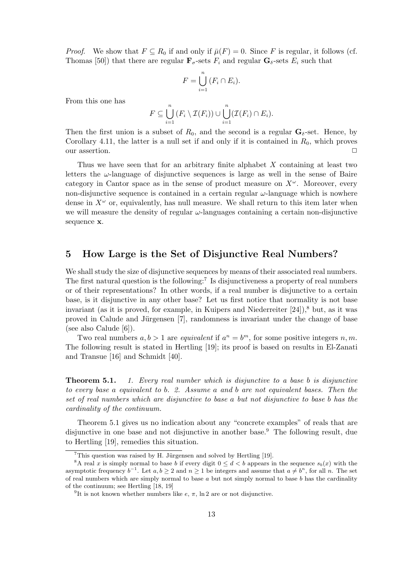*Proof.* We show that  $F \subseteq R_0$  if and only if  $\bar{\mu}(F) = 0$ . Since F is regular, it follows (cf. Thomas [50]) that there are regular  $\mathbf{F}_{\sigma}$ -sets  $F_i$  and regular  $\mathbf{G}_{\sigma}$ -sets  $E_i$  such that

$$
F = \bigcup_{i=1}^{n} (F_i \cap E_i).
$$

From this one has

$$
F \subseteq \bigcup_{i=1}^n (F_i \setminus \mathcal{I}(F_i)) \cup \bigcup_{i=1}^n (\mathcal{I}(F_i) \cap E_i).
$$

Then the first union is a subset of  $R_0$ , and the second is a regular  $\mathbf{G}_{\delta}$ -set. Hence, by Corollary 4.11, the latter is a null set if and only if it is contained in  $R_0$ , which proves our assertion.

Thus we have seen that for an arbitrary finite alphabet  $X$  containing at least two letters the  $\omega$ -language of disjunctive sequences is large as well in the sense of Baire category in Cantor space as in the sense of product measure on  $X^{\omega}$ . Moreover, every non-disjunctive sequence is contained in a certain regular  $\omega$ -language which is nowhere dense in  $X^{\omega}$  or, equivalently, has null measure. We shall return to this item later when we will measure the density of regular  $\omega$ -languages containing a certain non-disjunctive sequence **x**.

## **5 How Large is the Set of Disjunctive Real Numbers?**

We shall study the size of disjunctive sequences by means of their associated real numbers. The first natural question is the following:<sup>7</sup> Is disjunctiveness a property of real numbers or of their representations? In other words, if a real number is disjunctive to a certain base, is it disjunctive in any other base? Let us first notice that normality is not base invariant (as it is proved, for example, in Kuipers and Niederreiter  $[24]$ ),<sup>8</sup> but, as it was proved in Calude and Jürgensen [7], randomness is invariant under the change of base (see also Calude [6]).

Two real numbers  $a, b > 1$  are *equivalent* if  $a^n = b^m$ , for some positive integers n, m. The following result is stated in Hertling [19]; its proof is based on results in El-Zanati and Transue [16] and Schmidt [40].

**Theorem 5.1.** 1. Every real number which is disjunctive to a base b is disjunctive to every base a equivalent to b. 2. Assume a and b are not equivalent bases. Then the set of real numbers which are disjunctive to base a but not disjunctive to base b has the cardinality of the continuum.

Theorem 5.1 gives us no indication about any "concrete examples" of reals that are disjunctive in one base and not disjunctive in another base.<sup>9</sup> The following result, due to Hertling [19], remedies this situation.

 ${}^{7}$ This question was raised by H. Jürgensen and solved by Hertling [19].

<sup>&</sup>lt;sup>8</sup>A real x is simply normal to base b if every digit  $0 \leq d < b$  appears in the sequence  $s_b(x)$  with the asymptotic frequency  $b^{-1}$ . Let  $a, b \ge 2$  and  $n \ge 1$  be integers and assume that  $a \ne b^n$ , for all n. The set of real numbers which are simply normal to base  $a$  but not simply normal to base  $b$  has the cardinality of the continuum; see Hertling [18, 19]

<sup>&</sup>lt;sup>9</sup>It is not known whether numbers like  $e, \pi$ , ln 2 are or not disjunctive.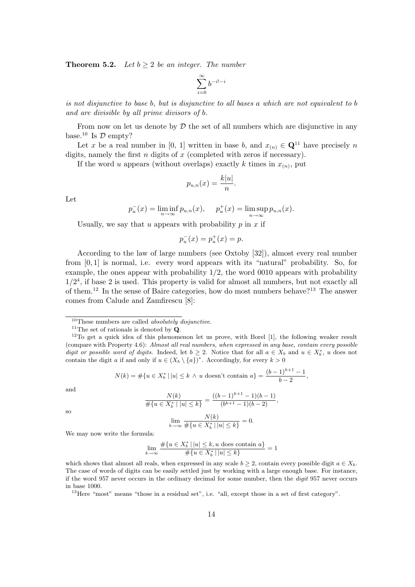**Theorem 5.2.** Let  $b \geq 2$  be an integer. The number

$$
\sum_{i=0}^\infty b^{-i!-i}
$$

is not disjunctive to base b, but is disjunctive to all bases a which are not equivalent to b and are divisible by all prime divisors of b.

From now on let us denote by  $\mathcal D$  the set of all numbers which are disjunctive in any base.<sup>10</sup> Is  $\mathcal D$  empty?

Let x be a real number in [0, 1] written in base b, and  $x_{(n)} \in \mathbb{Q}^{11}$  have precisely n digits, namely the first  $n$  digits of  $x$  (completed with zeros if necessary).

If the word u appears (without overlaps) exactly k times in  $x_{(n)}$ , put

$$
p_{u,n}(x) = \frac{k|u|}{n}.
$$

Let

$$
p_u^-(x) = \liminf_{n \to \infty} p_{u,n}(x), \quad p_u^+(x) = \limsup_{n \to \infty} p_{u,n}(x).
$$

Usually, we say that u appears with probability  $p$  in  $x$  if

$$
p_u^-(x) = p_u^+(x) = p.
$$

According to the law of large numbers (see Oxtoby [32]), almost every real number from [0, 1] is normal, i.e. every word appears with its "natural" probability. So, for example, the ones appear with probability 1/2, the word 0010 appears with probability  $1/2<sup>4</sup>$ , if base 2 is used. This property is valid for almost all numbers, but not exactly all of them.<sup>12</sup> In the sense of Baire categories, how do most numbers behave?<sup>13</sup> The answer comes from Calude and Zamfirescu [8]:

$$
N(k) = \#\{u \in X_b^* \, | \, |u| \le k \, \wedge \, u \text{ doesn't contain } a\} = \frac{(b-1)^{k+1}-1}{b-2},
$$

and

so

$$
\frac{N(k)}{\#\{u \in X_b^* \mid |u| \le k\}} = \frac{((b-1)^{k+1} - 1)(b-1)}{(b^{k+1} - 1)(b-2)},
$$

$$
\lim_{k \to \infty} \frac{N(k)}{\#\{u \in X_b^* \mid |u| \le k\}} = 0.
$$

We may now write the formula:

$$
\lim_{k \to \infty} \# \{ u \in X_b^* \mid |u| \le k, u \}
$$

$$
\lim_{k \to \infty} \frac{\#\{u \in X_b^* \, | \, |u| \le k, u \text{ does contain } a\}}{\#\{u \in X_b^* \, | \, |u| \le k\}} = 1
$$

which shows that almost all reals, when expressed in any scale  $b > 2$ , contain every possible digit  $a \in X_b$ . The case of words of digits can be easily settled just by working with a large enough base. For instance, if the word 957 never occurs in the ordinary decimal for some number, then the digit 957 never occurs in base 1000.

<sup>13</sup>Here "most" means "those in a residual set", i.e. "all, except those in a set of first category".

 $10$ These numbers are called *absolutely disjunctive*.

<sup>11</sup>The set of rationals is denoted by **Q**.

 $12$ To get a quick idea of this phenomenon let us prove, with Borel [1], the following weaker result (compare with Property 4.6): Almost all real numbers, when expressed in any base, contain every possible digit or possible word of digits. Indeed, let  $b \geq 2$ . Notice that for all  $a \in X_b$  and  $u \in X_b^*$ , u does not contain the digit a if and only if  $u \in (X_b \setminus \{a\})^*$ . Accordingly, for every  $k > 0$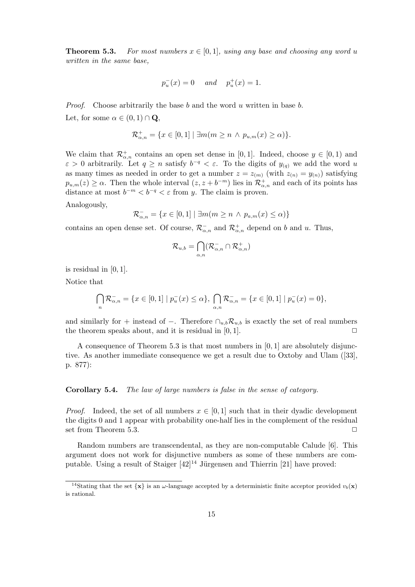**Theorem 5.3.** For most numbers  $x \in [0, 1]$ , using any base and choosing any word u written in the same base,

$$
p_u^-(x) = 0
$$
 and  $p_u^+(x) = 1$ .

*Proof.* Choose arbitrarily the base b and the word u written in base b. Let, for some  $\alpha \in (0,1) \cap \mathbf{Q}$ ,

$$
\mathcal{R}_{\alpha,n}^+ = \{ x \in [0,1] \mid \exists m (m \ge n \land p_{u,m}(x) \ge \alpha) \}.
$$

We claim that  $\mathcal{R}^+_{\alpha,n}$  contains an open set dense in [0, 1]. Indeed, choose  $y \in [0,1)$  and  $\varepsilon > 0$  arbitrarily. Let  $q \ge n$  satisfy  $b^{-q} < \varepsilon$ . To the digits of  $y_{(q)}$  we add the word u as many times as needed in order to get a number  $z = z_{(m)}$  (with  $z_{(n)} = y_{(n)}$ ) satisfying  $p_{u,m}(z) \geq \alpha$ . Then the whole interval  $(z, z + b^{-m})$  lies in  $\mathcal{R}^+_{\alpha,n}$  and each of its points has distance at most  $b^{-m} < b^{-q} < \varepsilon$  from y. The claim is proven.

Analogously,

$$
\mathcal{R}_{\alpha,n}^- = \{ x \in [0,1] \mid \exists m (m \ge n \land p_{a,m}(x) \le \alpha) \}
$$

contains an open dense set. Of course,  $\mathcal{R}^-_{\alpha,n}$  and  $\mathcal{R}^+_{\alpha,n}$  depend on b and u. Thus,

$$
\mathcal{R}_{u,b} = \bigcap_{\alpha,n} (\mathcal{R}_{\alpha,n}^- \cap \mathcal{R}_{\alpha,n}^+)
$$

is residual in  $[0, 1]$ .

Notice that

$$
\bigcap_{n} \mathcal{R}_{\alpha,n}^{-} = \{ x \in [0,1] \mid p_u^{-}(x) \le \alpha \}, \bigcap_{\alpha,n} \mathcal{R}_{\alpha,n}^{-} = \{ x \in [0,1] \mid p_u^{-}(x) = 0 \},\
$$

and similarly for + instead of −. Therefore  $\cap_{u,b} \mathcal{R}_{u,b}$  is exactly the set of real numbers the theorem speaks about, and it is residual in  $[0, 1]$ .

A consequence of Theorem 5.3 is that most numbers in  $[0, 1]$  are absolutely disjunctive. As another immediate consequence we get a result due to Oxtoby and Ulam ([33], p. 877):

**Corollary 5.4.** The law of large numbers is false in the sense of category.

*Proof.* Indeed, the set of all numbers  $x \in [0,1]$  such that in their dyadic development the digits 0 and 1 appear with probability one-half lies in the complement of the residual set from Theorem 5.3.

Random numbers are transcendental, as they are non-computable Calude [6]. This argument does not work for disjunctive numbers as some of these numbers are computable. Using a result of Staiger  $[42]^{14}$  Jürgensen and Thierrin [21] have proved:

<sup>&</sup>lt;sup>14</sup>Stating that the set  $\{x\}$  is an  $\omega$ -language accepted by a deterministic finite acceptor provided  $v_b(x)$ is rational.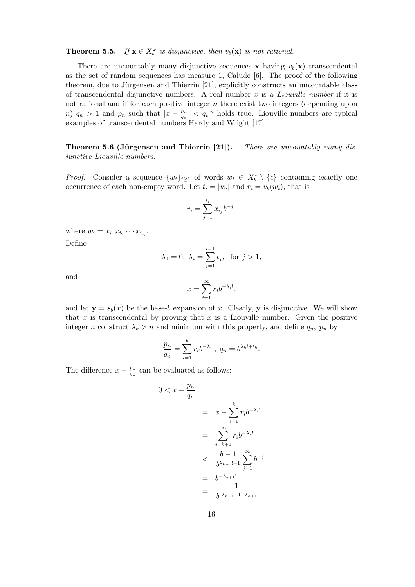**Theorem 5.5.** If  $\mathbf{x} \in X_b^{\omega}$  is disjunctive, then  $v_b(\mathbf{x})$  is not rational.

There are uncountably many disjunctive sequences **x** having  $v<sub>b</sub>(\mathbf{x})$  transcendental as the set of random sequences has measure 1, Calude [6]. The proof of the following theorem, due to Jürgensen and Thierrin [21], explicitly constructs an uncountable class of transcendental disjunctive numbers. A real number  $x$  is a *Liouville number* if it is not rational and if for each positive integer  $n$  there exist two integers (depending upon n)  $q_n > 1$  and  $p_n$  such that  $|x - \frac{p_n}{q_n}| < q_n^{-n}$  holds true. Liouville numbers are typical examples of transcendental numbers Hardy and Wright [17].

**Theorem 5.6 (Jürgensen and Thierrin [21]).** There are uncountably many disjunctive Liouville numbers.

*Proof.* Consider a sequence  $\{w_i\}_{i\geq 1}$  of words  $w_i \in X_b^* \setminus \{\epsilon\}$  containing exactly one occurrence of each non-empty word. Let  $t_i = |w_i|$  and  $r_i = v_b(w_i)$ , that is

$$
r_i=\sum_{j=1}^{t_i}x_{i_j}b^{-j},
$$

where  $w_i = x_{i_1} x_{i_2} \cdots x_{i_{t_i}}$ .

Define

$$
\lambda_1 = 0, \ \lambda_i = \sum_{j=1}^{i-1} t_j, \text{ for } j > 1,
$$

and

$$
x=\sum_{i=1}^\infty r_ib^{-\lambda_i!},
$$

and let  $y = s_b(x)$  be the base-b expansion of x. Clearly, y is disjunctive. We will show that x is transcendental by proving that x is a Liouville number. Given the positive integer *n* construct  $\lambda_k > n$  and minimum with this property, and define  $q_n$ ,  $p_n$  by

$$
\frac{p_n}{q_n} = \sum_{i=1}^k r_i b^{-\lambda_i!}, \ q_n = b^{\lambda_k! + t_k}.
$$

The difference  $x - \frac{p_n}{q_n}$  can be evaluated as follows:

$$
0 < x - \frac{p_n}{q_n} \\
= x - \sum_{i=1}^k r_i b^{-\lambda_i!} \\
= \sum_{i=k+1}^\infty r_i b^{-\lambda_i!} \\
< \frac{b-1}{b^{\lambda_{k+1}!+1}} \sum_{j=1}^\infty b^{-j} \\
= b^{-\lambda_{k+1}!} \\
= \frac{1}{b^{(\lambda_{k+1}-1)!\lambda_{k+1}}}.
$$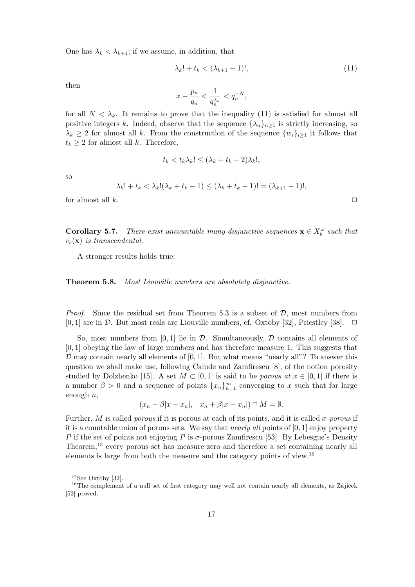One has  $\lambda_k < \lambda_{k+1}$ ; if we assume, in addition, that

$$
\lambda_k! + t_k < (\lambda_{k+1} - 1)!,\tag{11}
$$

then

$$
x-\frac{p_n}{q_n}<\frac{1}{q_n^{\lambda_k}}
$$

for all  $N < \lambda_k$ . It remains to prove that the inequality (11) is satisfied for almost all positive integers k. Indeed, observe that the sequence  $\{\lambda_n\}_{n>1}$  is strictly increasing, so  $\lambda_k \geq 2$  for almost all k. From the construction of the sequence  $\{w_i\}_{i\geq 1}$  it follows that  $t_k \geq 2$  for almost all k. Therefore,

$$
t_k < t_k \lambda_k! \leq (\lambda_k + t_k - 2)\lambda_k!,
$$

so

$$
\lambda_k! + t_k < \lambda_k! (\lambda_k + t_k - 1) \le (\lambda_k + t_k - 1)! = (\lambda_{k+1} - 1)!,
$$

for almost all  $k$ .  $\Box$ 

**Corollary 5.7.** There exist uncountable many disjunctive sequences  $\mathbf{x} \in X_b^{\omega}$  such that  $v<sub>b</sub>(\mathbf{x})$  is transcendental.

A stronger results holds true:

**Theorem 5.8.** Most Liouville numbers are absolutely disjunctive.

*Proof.* Since the residual set from Theorem 5.3 is a subset of  $D$ , most numbers from  $[0, 1]$  are in  $\mathcal D$ . But most reals are Liouville numbers, cf. Oxtoby [32], Priestley [38].  $\Box$ 

So, most numbers from  $[0, 1]$  lie in  $\mathcal{D}$ . Simultaneously,  $\mathcal D$  contains all elements of [0, 1] obeying the law of large numbers and has therefore measure 1. This suggests that  $\mathcal D$  may contain nearly all elements of [0, 1]. But what means "nearly all"? To answer this question we shall make use, following Calude and Zamfirescu [8], of the notion porosity studied by Dolzhenko [15]. A set  $M \subset [0,1]$  is said to be *porous at*  $x \in [0,1]$  if there is a number  $\beta > 0$  and a sequence of points  $\{x_n\}_{n=1}^{\infty}$  converging to x such that for large enough  $n$ ,

$$
(x_n - \beta |x - x_n|, \quad x_n + \beta |x - x_n|) \cap M = \emptyset.
$$

Further, M is called *porous* if it is porous at each of its points, and it is called  $\sigma$ -porous if it is a countable union of porous sets. We say that *nearly all* points of  $[0, 1]$  enjoy property P if the set of points not enjoying P is  $\sigma$ -porous Zamfirescu [53]. By Lebesgue's Density Theorem,<sup>15</sup> every porous set has measure zero and therefore a set containing nearly all elements is large from both the measure and the category points of view.<sup>16</sup>

 $15$ See Oxtoby [32].

 $16$ The complement of a null set of first category may well not contain nearly all elements, as Zajíček [52] proved.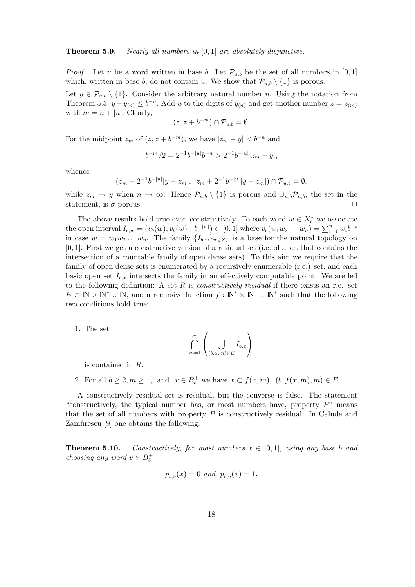#### **Theorem 5.9.** Nearly all numbers in [0, 1] are absolutely disjunctive.

*Proof.* Let u be a word written in base b. Let  $\mathcal{P}_{u,b}$  be the set of all numbers in [0, 1] which, written in base b, do not contain u. We show that  $\mathcal{P}_{u,b} \setminus \{1\}$  is porous.

Let  $y \in \mathcal{P}_{u,b} \setminus \{1\}$ . Consider the arbitrary natural number n. Using the notation from Theorem 5.3,  $y - y_{(n)} \leq b^{-n}$ . Add u to the digits of  $y_{(n)}$  and get another number  $z = z_{(m)}$ with  $m = n + |u|$ . Clearly,

$$
(z, z + b^{-m}) \cap \mathcal{P}_{u,b} = \emptyset.
$$

For the midpoint  $z_m$  of  $(z, z + b^{-m})$ , we have  $|z_m - y| < b^{-n}$  and

$$
b^{-m}/2 = 2^{-1}b^{-|u|}b^{-n} > 2^{-1}b^{-|u|}|z_m - y|,
$$

whence

$$
(z_m - 2^{-1}b^{-|u|}|y - z_m|, \ z_m + 2^{-1}b^{-|u|}|y - z_m|) \cap \mathcal{P}_{u,b} = \emptyset.
$$

while  $z_m \to y$  when  $n \to \infty$ . Hence  $\mathcal{P}_{u,b} \setminus \{1\}$  is porous and  $\cup_{u,b} \mathcal{P}_{u,b}$ , the set in the statement, is  $\sigma$ -porous.  $\Box$ 

The above results hold true even constructively. To each word  $w \in X_b^*$  we associate the open interval  $I_{b,w} = (v_b(w), v_b(w) + b^{-|w|}) \subset [0,1]$  where  $v_b(w_1w_2 \cdots w_n) = \sum_{i=1}^n w_i b^{-i}$ in case  $w = w_1 w_2 ... w_n$ . The family  $\{I_{b,w}\}_{w \in X_b^*}$  is a base for the natural topology on [0, 1]. First we get a constructive version of a residual set (i.e. of a set that contains the intersection of a countable family of open dense sets). To this aim we require that the family of open dense sets is enumerated by a recursively enumerable (r.e.) set, and each basic open set  $I_{b,x}$  intersects the family in an effectively computable point. We are led to the following definition: A set R is *constructively residual* if there exists an r.e. set  $E \subset \mathbb{N} \times \mathbb{N}^* \times \mathbb{N}$ , and a recursive function  $f : \mathbb{N}^* \times \mathbb{N} \to \mathbb{N}^*$  such that the following two conditions hold true:

1. The set

$$
\bigcap_{m=1}^{\infty} \left( \bigcup_{(b,x,m)\in E} I_{b,x} \right)
$$

is contained in R.

2. For all  $b \geq 2, m \geq 1$ , and  $x \in B_b^+$  we have  $x \subset f(x,m)$ ,  $(b, f(x,m), m) \in E$ .

A constructively residual set is residual, but the converse is false. The statement "constructively, the typical number has, or most numbers have, property  $P$ " means that the set of all numbers with property  $P$  is constructively residual. In Calude and Zamfirescu [9] one obtains the following:

**Theorem 5.10.** Constructively, for most numbers  $x \in [0, 1]$ , using any base b and choosing any word  $v \in B_b^+$ 

$$
p_{b,v}^-(x) = 0 \text{ and } p_{b,v}^+(x) = 1.
$$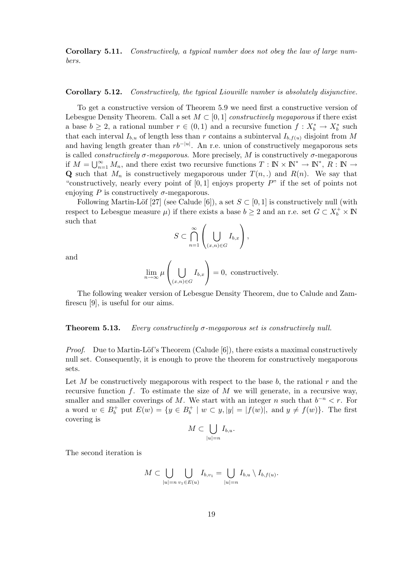**Corollary 5.11.** Constructively, a typical number does not obey the law of large numbers.

#### **Corollary 5.12.** Constructively, the typical Liouville number is absolutely disjunctive.

To get a constructive version of Theorem 5.9 we need first a constructive version of Lebesgue Density Theorem. Call a set  $M \subset [0,1]$  constructively megaporous if there exist a base  $b \geq 2$ , a rational number  $r \in (0,1)$  and a recursive function  $f: X_b^* \to X_b^*$  such that each interval  $I_{b,u}$  of length less than r contains a subinterval  $I_{b,f(u)}$  disjoint from M and having length greater than  $rb^{-|u|}$ . An r.e. union of constructively megaporous sets is called *constructively*  $\sigma$ *-megaporous*. More precisely, M is constructively  $\sigma$ -megaporous if  $M = \bigcup_{n=1}^{\infty} M_n$ , and there exist two recursive functions  $T : \mathbb{N} \times \mathbb{N}^* \to \mathbb{N}^*$ ,  $R : \mathbb{N} \to \mathbb{N}$ **Q** such that  $M_n$  is constructively megaporous under  $T(n,.)$  and  $R(n)$ . We say that "constructively, nearly every point of  $[0, 1]$  enjoys property  $P$ " if the set of points not enjoying P is constructively  $\sigma$ -megaporous.

Following Martin-Löf [27] (see Calude [6]), a set  $S \subset [0, 1]$  is constructively null (with respect to Lebesgue measure  $\mu$ ) if there exists a base  $b \geq 2$  and an r.e. set  $G \subset X_b^+ \times \mathbb{N}$ such that

$$
S \subset \bigcap_{n=1}^{\infty} \left( \bigcup_{(x,n) \in G} I_{b,x} \right),
$$

and

$$
\lim_{n \to \infty} \mu\left(\bigcup_{(x,n) \in G} I_{b,x}\right) = 0, \text{ constructively.}
$$

The following weaker version of Lebesgue Density Theorem, due to Calude and Zamfirescu [9], is useful for our aims.

**Theorem 5.13.** Every constructively  $\sigma$ -megaporous set is constructively null.

*Proof.* Due to Martin-Löf's Theorem (Calude [6]), there exists a maximal constructively null set. Consequently, it is enough to prove the theorem for constructively megaporous sets.

Let M be constructively megaporous with respect to the base  $b$ , the rational r and the recursive function  $f$ . To estimate the size of  $M$  we will generate, in a recursive way, smaller and smaller coverings of M. We start with an integer n such that  $b^{-n} < r$ . For a word  $w \in B_b^+$  put  $E(w) = \{y \in B_b^+ \mid w \subset y, |y| = |f(w)|, \text{ and } y \neq f(w)\}.$  The first covering is

$$
M \subset \bigcup_{|u|=n} I_{b,u}.
$$

The second iteration is

$$
M \subset \bigcup_{|u|=n} \bigcup_{v_1 \in E(u)} I_{b,v_1} = \bigcup_{|u|=n} I_{b,u} \setminus I_{b,f(u)}.
$$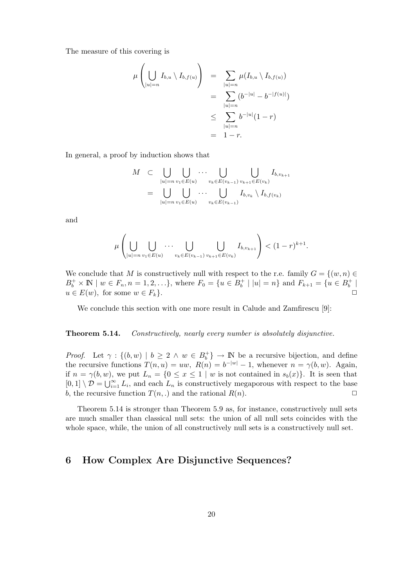The measure of this covering is

$$
\mu\left(\bigcup_{|u|=n} I_{b,u} \setminus I_{b,f(u)}\right) = \sum_{|u|=n} \mu(I_{b,u} \setminus I_{b,f(u)})
$$
  
= 
$$
\sum_{|u|=n} (b^{-|u|} - b^{-|f(u)|})
$$
  

$$
\leq \sum_{|u|=n} b^{-|u|} (1-r)
$$
  
= 
$$
1-r.
$$

In general, a proof by induction shows that

$$
M \subset \bigcup_{|u|=n} \bigcup_{v_1 \in E(u)} \cdots \bigcup_{v_k \in E(v_{k-1})} \bigcup_{v_{k+1} \in E(v_k)} I_{b,v_{k+1}}
$$
  
= 
$$
\bigcup_{|u|=n} \bigcup_{v_1 \in E(u)} \cdots \bigcup_{v_k \in E(v_{k-1})} I_{b,v_k} \setminus I_{b,f(v_k)}
$$

and

$$
\mu\left(\bigcup_{|u|=n} \bigcup_{v_1 \in E(u)} \cdots \bigcup_{v_k \in E(v_{k-1})} \bigcup_{v_{k+1} \in E(v_k)} I_{b,v_{k+1}}\right) < (1-r)^{k+1}.
$$

We conclude that M is constructively null with respect to the r.e. family  $G = \{(w, n) \in$  $B_b^+ \times \mathbb{N} \mid w \in F_n, n = 1, 2, \ldots\},\$  where  $F_0 = \{u \in B_b^+ \mid |u| = n\}$  and  $F_{k+1} = \{u \in B_b^+ \mid$  $u \in E(w)$ , for some  $w \in F_k$ .

We conclude this section with one more result in Calude and Zamfirescu [9]:

**Theorem 5.14.** Constructively, nearly every number is absolutely disjunctive.

*Proof.* Let  $\gamma : \{(b, w) \mid b \geq 2 \land w \in B_b^+\}\rightarrow \mathbb{N}$  be a recursive bijection, and define the recursive functions  $T(n, u) = uw$ ,  $R(n) = b^{-|w|} - 1$ , whenever  $n = \gamma(b, w)$ . Again, if  $n = \gamma(b, w)$ , we put  $L_n = \{0 \le x \le 1 \mid w \text{ is not contained in } s_b(x)\}.$  It is seen that  $[0,1] \setminus \mathcal{D} = \bigcup_{i=1}^{\infty} L_i$ , and each  $L_n$  is constructively megaporous with respect to the base b, the recursive function  $T(n,.)$  and the rational  $R(n)$ .

Theorem 5.14 is stronger than Theorem 5.9 as, for instance, constructively null sets are much smaller than classical null sets: the union of all null sets coincides with the whole space, while, the union of all constructively null sets is a constructively null set.

## **6 How Complex Are Disjunctive Sequences?**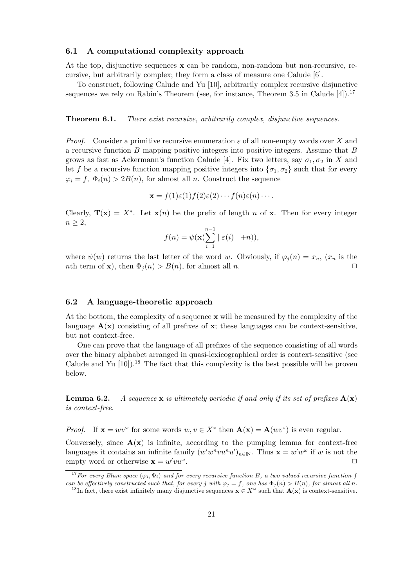#### **6.1 A computational complexity approach**

At the top, disjunctive sequences **x** can be random, non-random but non-recursive, recursive, but arbitrarily complex; they form a class of measure one Calude [6].

To construct, following Calude and Yu [10], arbitrarily complex recursive disjunctive sequences we rely on Rabin's Theorem (see, for instance, Theorem 3.5 in Calude  $[4]$ ).<sup>17</sup>

**Theorem 6.1.** There exist recursive, arbitrarily complex, disjunctive sequences.

*Proof.* Consider a primitive recursive enumeration  $\varepsilon$  of all non-empty words over X and a recursive function  $B$  mapping positive integers into positive integers. Assume that  $B$ grows as fast as Ackermann's function Calude [4]. Fix two letters, say  $\sigma_1, \sigma_2$  in X and let f be a recursive function mapping positive integers into  $\{\sigma_1, \sigma_2\}$  such that for every  $\varphi_i = f, \Phi_i(n) > 2B(n)$ , for almost all n. Construct the sequence

$$
\mathbf{x} = f(1)\varepsilon(1)f(2)\varepsilon(2)\cdots f(n)\varepsilon(n)\cdots.
$$

Clearly,  $\mathbf{T}(\mathbf{x}) = X^*$ . Let  $\mathbf{x}(n)$  be the prefix of length n of **x**. Then for every integer  $n \geq 2$ ,

$$
f(n) = \psi(\mathbf{x}(\sum_{i=1}^{n-1} | \varepsilon(i) | + n)),
$$

where  $\psi(w)$  returns the last letter of the word w. Obviously, if  $\varphi_i(n) = x_n$ ,  $(x_n$  is the nth term of **x**), then  $\Phi_i(n) > B(n)$ , for almost all *n*.

#### **6.2 A language-theoretic approach**

At the bottom, the complexity of a sequence **x** will be measured by the complexity of the language  $\mathbf{A}(\mathbf{x})$  consisting of all prefixes of  $\mathbf{x}$ ; these languages can be context-sensitive, but not context-free.

One can prove that the language of all prefixes of the sequence consisting of all words over the binary alphabet arranged in quasi-lexicographical order is context-sensitive (see Calude and Yu  $[10]$ .<sup>18</sup> The fact that this complexity is the best possible will be proven below.

**Lemma 6.2.** A sequence **x** is ultimately periodic if and only if its set of prefixes  $\mathbf{A}(\mathbf{x})$ is context-free.

*Proof.* If  $\mathbf{x} = wv^{\omega}$  for some words  $w, v \in X^*$  then  $\mathbf{A}(\mathbf{x}) = \mathbf{A}(wv^*)$  is even regular.

Conversely, since  $\mathbf{A}(\mathbf{x})$  is infinite, according to the pumping lemma for context-free languages it contains an infinite family  $(w'w^n vu^n u')_{n\in\mathbb{N}}$ . Thus  $\mathbf{x} = w'w^\omega$  if w is not the empty word or otherwise  $\mathbf{x} = w' v u^{\omega}$ .  $vu^\omega$ .

<sup>&</sup>lt;sup>17</sup> For every Blum space  $(\varphi_i, \Phi_i)$  and for every recursive function B, a two-valued recursive function f can be effectively constructed such that, for every j with  $\varphi_j = f$ , one has  $\Phi_j(n) > B(n)$ , for almost all n.

<sup>&</sup>lt;sup>18</sup>In fact, there exist infinitely many disjunctive sequences  $\mathbf{x} \in X^{\omega}$  such that  $\mathbf{A}(\mathbf{x})$  is context-sensitive.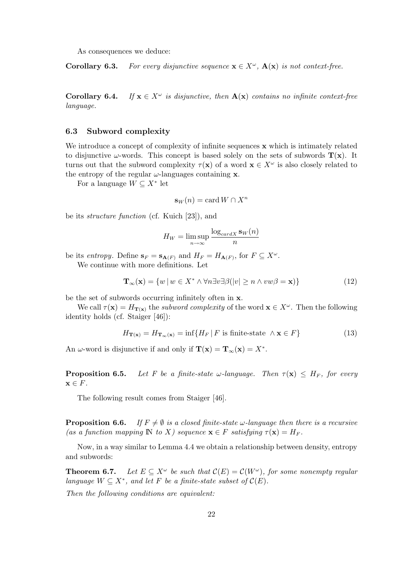As consequences we deduce:

**Corollary 6.3.** For every disjunctive sequence  $\mathbf{x} \in X^{\omega}$ .  $\mathbf{A}(\mathbf{x})$  is not context-free.

**Corollary 6.4.** If  $\mathbf{x} \in X^{\omega}$  is disjunctive, then  $\mathbf{A}(\mathbf{x})$  contains no infinite context-free language.

#### **6.3 Subword complexity**

We introduce a concept of complexity of infinite sequences **x** which is intimately related to disjunctive  $\omega$ -words. This concept is based solely on the sets of subwords  $\mathbf{T}(\mathbf{x})$ . It turns out that the subword complexity  $\tau(\mathbf{x})$  of a word  $\mathbf{x} \in X^{\omega}$  is also closely related to the entropy of the regular  $\omega$ -languages containing **x**.

For a language  $W \subseteq X^*$  let

$$
\mathbf{s}_W(n) = \text{card } W \cap X^n
$$

be its structure function (cf. Kuich [23]), and

$$
H_W = \limsup_{n \to \infty} \frac{\log_{card X} \mathbf{s}_W(n)}{n}
$$

be its entropy. Define  $\mathbf{s}_F = \mathbf{s}_{\mathbf{A}(F)}$  and  $H_F = H_{\mathbf{A}(F)}$ , for  $F \subseteq X^{\omega}$ . We continue with more definitions. Let

$$
\mathbf{T}_{\infty}(\mathbf{x}) = \{ w \, | \, w \in X^* \land \forall n \exists v \exists \beta (\vert v \vert \ge n \land vw\beta = \mathbf{x}) \}
$$
(12)

be the set of subwords occurring infinitely often in **x**.

We call  $\tau(\mathbf{x}) = H_{\mathbf{T}(\mathbf{x})}$  the *subword complexity* of the word  $\mathbf{x} \in X^{\omega}$ . Then the following identity holds (cf. Staiger [46]):

$$
H_{\mathbf{T}(\mathbf{x})} = H_{\mathbf{T}_{\infty}(\mathbf{x})} = \inf \{ H_F \, | \, F \text{ is finite-state } \wedge \mathbf{x} \in F \} \tag{13}
$$

An  $\omega$ -word is disjunctive if and only if  $\mathbf{T}(\mathbf{x}) = \mathbf{T}_{\infty}(\mathbf{x}) = X^*$ .

**Proposition 6.5.** Let F be a finite-state  $\omega$ -language. Then  $\tau(\mathbf{x}) \leq H_F$ , for every  $\mathbf{x} \in F$ .

The following result comes from Staiger [46].

**Proposition 6.6.** If  $F \neq \emptyset$  is a closed finite-state  $\omega$ -language then there is a recursive (as a function mapping  $\mathbb{N}$  to X) sequence  $\mathbf{x} \in F$  satisfying  $\tau(\mathbf{x}) = H_F$ .

Now, in a way similar to Lemma 4.4 we obtain a relationship between density, entropy and subwords:

**Theorem 6.7.** Let  $E \subseteq X^{\omega}$  be such that  $\mathcal{C}(E) = \mathcal{C}(W^{\omega})$ , for some nonempty regular language  $W \subseteq X^*$ , and let F be a finite-state subset of  $\mathcal{C}(E)$ .

Then the following conditions are equivalent: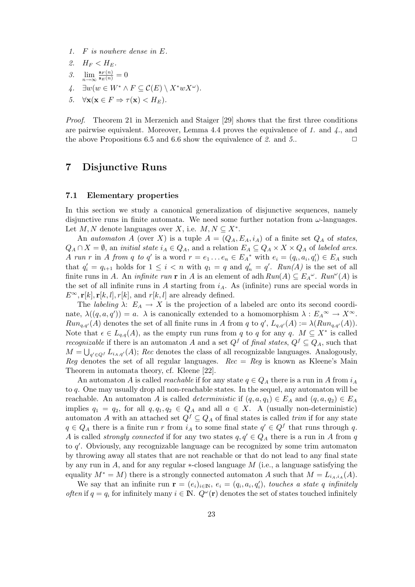- 1. F is nowhere dense in E.
- 2.  $H_F < H_E$ .
- 3.  $\lim_{n \to \infty} \frac{\mathbf{s}_F(n)}{\mathbf{s}_E(n)} = 0$
- 4.  $\exists w (w \in W^* \wedge F \subseteq \mathcal{C}(E) \setminus X^* w X^{\omega}).$
- 5.  $\forall \mathbf{x} (\mathbf{x} \in F \Rightarrow \tau(\mathbf{x}) < H_F).$

Proof. Theorem 21 in Merzenich and Staiger [29] shows that the first three conditions are pairwise equivalent. Moreover, Lemma 4.4 proves the equivalence of 1. and  $\chi$ , and the above Propositions 6.5 and 6.6 show the equivalence of 2. and 5..  $\Box$ 

## **7 Disjunctive Runs**

#### **7.1 Elementary properties**

In this section we study a canonical generalization of disjunctive sequences, namely disjunctive runs in finite automata. We need some further notation from  $\omega$ -languages. Let M, N denote languages over X, i.e.  $M, N \subseteq X^*$ .

An *automaton* A (over X) is a tuple  $A = (Q_A, E_A, i_A)$  of a finite set  $Q_A$  of states,  $Q_A \cap X = \emptyset$ , an *initial state*  $i_A \in Q_A$ , and a relation  $E_A \subseteq Q_A \times X \times Q_A$  of *labeled arcs*. A run r in A from q to q' is a word  $r = e_1 \dots e_n \in E_A^*$  with  $e_i = (q_i, a_i, q'_i) \in E_A$  such that  $q_i' = q_{i+1}$  holds for  $1 \leq i < n$  with  $q_1 = q$  and  $q_n' = q'$ .  $Run(A)$  is the set of all finite runs in A. An *infinite run* **r** in A is an element of adh  $Run(A) \subseteq E_A^{\omega}$ .  $Run^{\omega}(A)$  is the set of all infinite runs in A starting from  $i_A$ . As (infinite) runs are special words in  $E^{\infty}$ ,  $\mathbf{r}[k], \mathbf{r}[k,l], r[k],$  and  $r[k,l]$  are already defined.

The *labeling*  $\lambda: E_A \to X$  is the projection of a labeled arc onto its second coordinate,  $\lambda((q, a, q')) = a$ .  $\lambda$  is canonically extended to a homomorphism  $\lambda : E_A \to X \to X$ .  $Run_{q,q'}(A)$  denotes the set of all finite runs in A from q to  $q'$ ,  $L_{q,q'}(A) := \lambda(Run_{q,q'}(A))$ . Note that  $\epsilon \in L_{q,q}(A)$ , as the empty run runs from q to q for any q.  $M \subseteq X^*$  is called *recognizable* if there is an automaton A and a set  $Q^f$  of final states,  $Q^f \subseteq Q_A$ , such that  $M = \bigcup_{q' \in Q} L_{i_A,q'}(A);$  Rec denotes the class of all recognizable languages. Analogously, Reg denotes the set of all regular languages.  $Rec = Reg$  is known as Kleene's Main Theorem in automata theory, cf. Kleene [22].

An automaton A is called *reachable* if for any state  $q \in Q_A$  there is a run in A from  $i_A$ to q. One may usually drop all non-reachable states. In the sequel, any automaton will be reachable. An automaton A is called *deterministic* if  $(q, a, q_1) \in E_A$  and  $(q, a, q_2) \in E_A$ implies  $q_1 = q_2$ , for all  $q, q_1, q_2 \in Q_A$  and all  $a \in X$ . A (usually non-deterministic) automaton A with an attached set  $Q^f \subseteq Q_A$  of final states is called trim if for any state  $q \in Q_A$  there is a finite run r from  $i_A$  to some final state  $q' \in Q^f$  that runs through q. A is called *strongly connected* if for any two states  $q, q' \in Q_A$  there is a run in A from q to  $q'$ . Obviously, any recognizable language can be recognized by some trim automaton by throwing away all states that are not reachable or that do not lead to any final state by any run in  $A$ , and for any regular  $*$ -closed language  $M$  (i.e., a language satisfying the equality  $M^* = M$ ) there is a strongly connected automaton A such that  $M = L_{i_A, i_A}(A)$ .

We say that an infinite run  $\mathbf{r} = (e_i)_{i \in \mathbb{N}}, e_i = (q_i, a_i, q'_i)$ , touches a state q infinitely often if  $q = q_i$  for infinitely many  $i \in \mathbb{N}$ .  $Q^{\omega}(\mathbf{r})$  denotes the set of states touched infinitely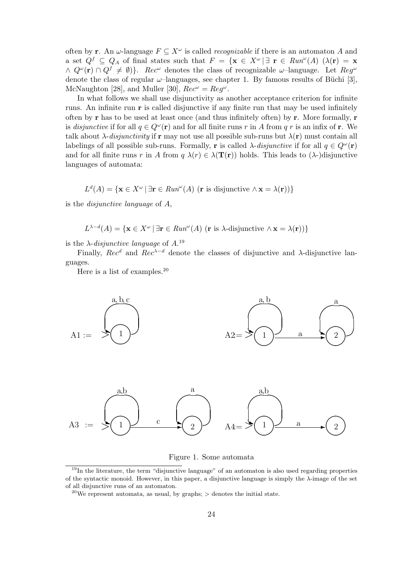often by **r**. An  $\omega$ -language  $F \subseteq X^{\omega}$  is called *recognizable* if there is an automaton A and a set  $Q^f \subseteq Q_A$  of final states such that  $F = \{ \mathbf{x} \in X^\omega \mid \exists \mathbf{r} \in \mathit{Run}^\omega(A) \; (\lambda(\mathbf{r}) = \mathbf{x})\}$  $\wedge Q^{\omega}(\mathbf{r}) \cap Q^{f} \neq \emptyset$ }. Rec<sup>ω</sup> denotes the class of recognizable  $\omega$ -language. Let Reg<sup>ω</sup> denote the class of regular  $\omega$ -languages, see chapter 1. By famous results of Büchi [3], McNaughton [28], and Muller [30],  $Rec^{\omega} = Req^{\omega}$ .

In what follows we shall use disjunctivity as another acceptance criterion for infinite runs. An infinite run **r** is called disjunctive if any finite run that may be used infinitely often by **r** has to be used at least once (and thus infinitely often) by **r**. More formally, **r** is *disjunctive* if for all  $q \in Q^{\omega}(\mathbf{r})$  and for all finite runs r in A from q r is an infix of r. We talk about  $\lambda$ -disjunctivity if **r** may not use all possible sub-runs but  $\lambda(\mathbf{r})$  must contain all labelings of all possible sub-runs. Formally, **r** is called  $\lambda$ -disjunctive if for all  $q \in Q^{\omega}(\mathbf{r})$ and for all finite runs r in A from  $q \lambda(r) \in \lambda(\mathbf{T}(\mathbf{r}))$  holds. This leads to  $(\lambda)$ -disjunctive languages of automata:

$$
L^{d}(A) = \{ \mathbf{x} \in X^{\omega} \mid \exists \mathbf{r} \in \mathit{Run}^{\omega}(A) \ (\mathbf{r} \text{ is disjunctive } \wedge \mathbf{x} = \lambda(\mathbf{r})) \}
$$

is the disjunctive language of A,

$$
L^{\lambda-d}(A) = \{ \mathbf{x} \in X^{\omega} \mid \exists \mathbf{r} \in \mathit{Run}^{\omega}(A) \text{ (r is } \lambda \text{-disjunctive } \wedge \mathbf{x} = \lambda(\mathbf{r})) \}
$$

is the  $\lambda$ -disjunctive language of  $A$ .<sup>19</sup>

Finally, Rec<sup>d</sup> and Rec<sup> $\lambda-d$ </sup> denote the classes of disjunctive and  $\lambda$ -disjunctive languages.

Here is a list of examples.<sup>20</sup>



Figure 1. Some automata

 $19$ In the literature, the term "disjunctive language" of an automaton is also used regarding properties of the syntactic monoid. However, in this paper, a disjunctive language is simply the  $\lambda$ -image of the set of all disjunctive runs of an automaton.

<sup>&</sup>lt;sup>20</sup>We represent automata, as usual, by graphs;  $>$  denotes the initial state.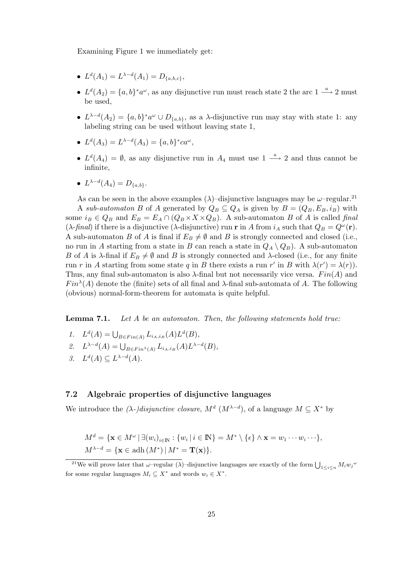Examining Figure 1 we immediately get:

- $L^d(A_1) = L^{\lambda-d}(A_1) = D_{\{a,b,c\}},$
- $L<sup>d</sup>(A<sub>2</sub>) = {a, b}<sup>*</sup> a<sup>\omega</sup>$ , as any disjunctive run must reach state 2 the arc  $1 \stackrel{a}{\longrightarrow} 2$  must be used,
- $L^{\lambda-d}(A_2) = \{a, b\}^* a^{\omega} \cup D_{\{a,b\}}$ , as a  $\lambda$ -disjunctive run may stay with state 1: any labeling string can be used without leaving state 1,
- $L^{d}(A_3) = L^{\lambda-d}(A_3) = \{a, b\}^*ca^{\omega}$ ,
- $L<sup>d</sup>(A<sub>4</sub>) = \emptyset$ , as any disjunctive run in  $A<sub>4</sub>$  must use  $1 \stackrel{a}{\longrightarrow} 2$  and thus cannot be infinite,

$$
\bullet \ \ L^{\lambda - d}(A_4) = D_{\{a,b\}}.
$$

As can be seen in the above examples ( $\lambda$ )–disjunctive languages may be  $\omega$ –regular.<sup>21</sup> A sub-automaton B of A generated by  $Q_B \subseteq Q_A$  is given by  $B = (Q_B, E_B, i_B)$  with some  $i_B \in Q_B$  and  $E_B = E_A \cap (Q_B \times X \times Q_B)$ . A sub-automaton B of A is called final ( $\lambda$ -final) if there is a disjunctive ( $\lambda$ -disjunctive) run **r** in A from  $i_A$  such that  $Q_B = Q^{\omega}(\mathbf{r})$ . A sub-automaton B of A is final if  $E_B \neq \emptyset$  and B is strongly connected and closed (i.e., no run in A starting from a state in B can reach a state in  $Q_A \setminus Q_B$ . A sub-automaton B of A is  $\lambda$ -final if  $E_B \neq \emptyset$  and B is strongly connected and  $\lambda$ -closed (i.e., for any finite run r in A starting from some state q in B there exists a run r' in B with  $\lambda(r') = \lambda(r)$ . Thus, any final sub-automaton is also  $\lambda$ -final but not necessarily vice versa.  $Fin(A)$  and  $Fin^{\lambda}(A)$  denote the (finite) sets of all final and  $\lambda$ -final sub-automata of A. The following (obvious) normal-form-theorem for automata is quite helpful.

**Lemma 7.1.** Let A be an automaton. Then, the following statements hold true:

- 1.  $L^d(A) = \bigcup_{B \in Fin(A)} L_{i_A,i_B}(A) L^d(B),$
- 2.  $L^{\lambda-d}(A) = \bigcup_{B \in Fin^{\lambda}(A)} L_{i_A,i_B}(A) L^{\lambda-d}(B),$
- 3.  $L^d(A) \subset L^{\lambda-d}(A)$ .

#### **7.2 Algebraic properties of disjunctive languages**

We introduce the  $(\lambda)$ -*disjunctive closure,*  $M^d$  ( $M^{\lambda-d}$ ), of a language  $M \subseteq X^*$  by

$$
M^d = \{ \mathbf{x} \in M^{\omega} \mid \exists (w_i)_{i \in \mathbb{N}} : \{w_i \mid i \in \mathbb{N}\} = M^* \setminus \{\epsilon\} \wedge \mathbf{x} = w_1 \cdots w_i \cdots \},
$$
  

$$
M^{\lambda - d} = \{ \mathbf{x} \in \text{adh } (M^*) \mid M^* = \mathbf{T}(\mathbf{x}) \}.
$$

<sup>&</sup>lt;sup>21</sup>We will prove later that  $\omega$ -regular ( $\lambda$ )-disjunctive languages are exactly of the form  $\bigcup_{1 \le i \le n} M_i w_j^{\omega}$ for some regular languages  $M_i \subseteq X^*$  and words  $w_i \in X^*$ .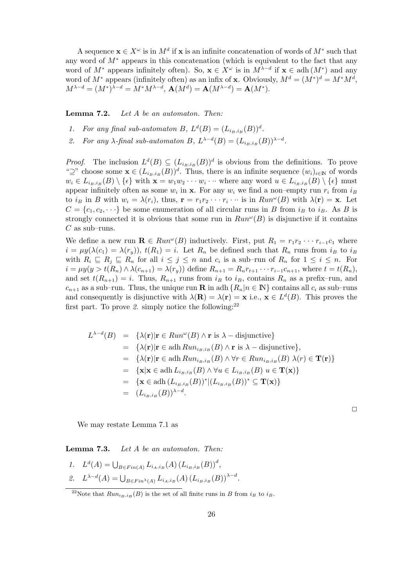A sequence  $\mathbf{x} \in X^\omega$  is in  $M^d$  if  $\mathbf{x}$  is an infinite concatenation of words of  $M^*$  such that any word of  $M^*$  appears in this concatenation (which is equivalent to the fact that any word of  $M^*$  appears infinitely often). So,  $\mathbf{x} \in X^\omega$  is in  $M^{\lambda-d}$  if  $\mathbf{x} \in \text{adh}(M^*)$  and any word of  $M^*$  appears (infinitely often) as an infix of **x**. Obviously,  $M^d = (M^*)^d = M^*M^d$ ,  $M^{\lambda-d} = (M^*)^{\lambda-d} = M^*M^{\lambda-d}, \mathbf{A}(M^d) = \mathbf{A}(M^{\lambda-d}) = \mathbf{A}(M^*).$ 

**Lemma 7.2.** Let A be an automaton. Then:

- 1. For any final sub-automaton B,  $L<sup>d</sup>(B) = (L<sub>i_B,i_B</sub>(B))^d$ .
- 2. For any  $\lambda$ -final sub-automaton B,  $L^{\lambda-d}(B)=(L_{i_B,i_B}(B))^{\lambda-d}$ .

*Proof.* The inclusion  $L^d(B) \subseteq (L_{i_B,i_B}(B))^d$  is obvious from the definitions. To prove " $\supseteq$ " choose some  $\mathbf{x} \in (L_{i_B,i_B}(B))^d$ . Thus, there is an infinite sequence  $(w_i)_{i \in \mathbb{N}}$  of words  $w_i \in L_{i_B,i_B}(B) \setminus {\epsilon}$  with  $\mathbf{x} = w_1w_2 \cdots w_i \cdots$  where any word  $u \in L_{i_B,i_B}(B) \setminus {\epsilon}$  must appear infinitely often as some  $w_i$  in **x**. For any  $w_i$  we find a non–empty run  $r_i$  from  $i_B$ to  $i_B$  in B with  $w_i = \lambda(r_i)$ , thus,  $\mathbf{r} = r_1 r_2 \cdots r_i \cdots$  is in  $Run^{\omega}(B)$  with  $\lambda(\mathbf{r}) = \mathbf{x}$ . Let  $C = \{c_1, c_2, \dots\}$  be some enumeration of all circular runs in B from  $i_B$  to  $i_B$ . As B is strongly connected it is obvious that some run in  $Run^{\omega}(B)$  is disjunctive if it contains  $C$  as sub–runs.

We define a new run  $\mathbf{R} \in Run^{\omega}(B)$  inductively. First, put  $R_1 = r_1 r_2 \cdots r_{i-1} c_1$  where  $i = \mu y(\lambda(c_1) = \lambda(r_y)), t(R_1) = i.$  Let  $R_n$  be defined such that  $R_n$  runs from  $i_B$  to  $i_B$ with  $R_i \subseteq R_j \subseteq R_n$  for all  $i \leq j \leq n$  and  $c_i$  is a sub-run of  $R_n$  for  $1 \leq i \leq n$ . For  $i = \mu y(y>t(R_n) \wedge \lambda(c_{n+1}) = \lambda(r_y))$  define  $R_{n+1} = R_n r_{t+1} \cdots r_{i-1} c_{n+1}$ , where  $t = t(R_n)$ , and set  $t(R_{n+1}) = i$ . Thus,  $R_{n+1}$  runs from  $i_B$  to  $i_B$ , contains  $R_n$  as a prefix-run, and  $c_{n+1}$  as a sub–run. Thus, the unique run **R** in adh  $\{R_n|n \in \mathbb{N}\}\)$  contains all  $c_i$  as sub–runs and consequently is disjunctive with  $\lambda(\mathbf{R}) = \lambda(\mathbf{r}) = \mathbf{x}$  i.e.,  $\mathbf{x} \in L^d(B)$ . This proves the first part. To prove 2. simply notice the following: $22$ 

$$
L^{\lambda-d}(B) = \{ \lambda(\mathbf{r}) | \mathbf{r} \in Run^{\omega}(B) \land \mathbf{r} \text{ is } \lambda - \text{disjunctive} \}
$$
  
\n
$$
= \{ \lambda(\mathbf{r}) | \mathbf{r} \in \text{adh } Run_{i_B, i_B}(B) \land \mathbf{r} \text{ is } \lambda - \text{disjunctive} \},
$$
  
\n
$$
= \{ \lambda(\mathbf{r}) | \mathbf{r} \in \text{adh } Run_{i_B, i_B}(B) \land \forall r \in Run_{i_B, i_B}(B) \lambda(r) \in \mathbf{T}(\mathbf{r}) \}
$$
  
\n
$$
= \{ \mathbf{x} | \mathbf{x} \in \text{adh } L_{i_B, i_B}(B) \land \forall u \in L_{i_B, i_B}(B) u \in \mathbf{T}(\mathbf{x}) \}
$$
  
\n
$$
= \{ \mathbf{x} \in \text{adh } (L_{i_B, i_B}(B))^* | (L_{i_B, i_B}(B))^* \subseteq \mathbf{T}(\mathbf{x}) \}
$$
  
\n
$$
= (L_{i_B, i_B}(B))^{\lambda - d}.
$$

 $\Box$ 

We may restate Lemma 7.1 as

**Lemma 7.3.** Let A be an automaton. Then:

1.  $L^d(A) = \bigcup_{B \in Fin(A)} L_{i_A, i_B}(A) (L_{i_B, i_B}(B))^d$ , 2.  $L^{\lambda-d}(A) = \bigcup_{B \in Fin^{\lambda}(A)} L_{i_A,i_B}(A) (L_{i_B,i_B}(B))^{\lambda-d}.$ 

<sup>&</sup>lt;sup>22</sup>Note that  $Run_{i_B,i_B}(B)$  is the set of all finite runs in B from  $i_B$  to  $i_B$ .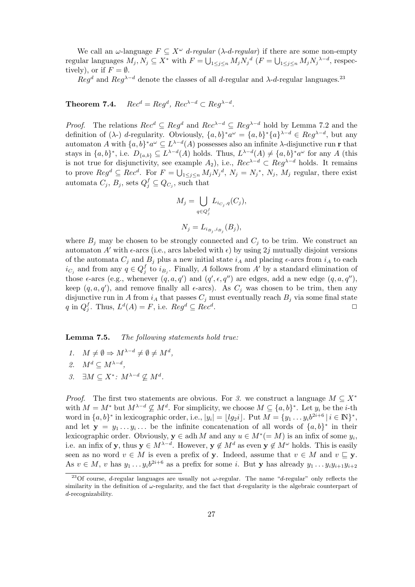We call an  $\omega$ -language  $F \subseteq X^{\omega}$  d-regular ( $\lambda$ -d-regular) if there are some non-empty regular languages  $M_j, N_j \subseteq X^*$  with  $F = \bigcup_{1 \leq j \leq n} M_j N_j^d$   $(F = \bigcup_{1 \leq j \leq n} M_j N_j^{\lambda - d}$ , respectively), or if  $F = \emptyset$ .

 $\chi_{\text{eq}}^{5/2}$  and  $\chi_{\text{eq}}^{3}$  denote the classes of all d-regular and  $\lambda$ -d-regular languages.<sup>23</sup>

**Theorem 7.4.**  $Rec^d = Req^d$ ,  $Rec^{\lambda-d} \subset Req^{\lambda-d}$ .

*Proof.* The relations  $Rec^d \subseteq Reg^d$  and  $Rec^{\lambda-d} \subseteq Reg^{\lambda-d}$  hold by Lemma 7.2 and the definition of ( $\lambda$ -) d-regularity. Obviously,  $\{a, b\}^* a^\omega = \{a, b\}^* \{a\}^{\lambda - d} \in Reg^{\lambda - d}$ , but any automaton A with  $\{a, b\}^* a^\omega \subseteq L^{\lambda-d}(A)$  possesses also an infinite  $\lambda$ -disjunctive run **r** that stays in  $\{a, b\}^*$ , i.e.  $D_{\{a, b\}} \subseteq L^{\lambda - d}(A)$  holds. Thus,  $L^{\lambda - d}(A) \neq \{a, b\}^* a^\omega$  for any A (this is not true for disjunctivity, see example  $A_2$ ), i.e.,  $Rec^{\lambda-d} \subset Reg^{\lambda-d}$  holds. It remains to prove  $Reg^d \subseteq Rec^d$ . For  $F = \bigcup_{1 \leq j \leq n} M_j N_j^d$ ,  $N_j = N_j^*$ ,  $N_j$ ,  $M_j$  regular, there exist automata  $C_j, B_j$ , sets  $Q_j^f \subseteq Q_{C_j}$ , such that

$$
M_j = \bigcup_{q \in Q_j^f} L_{i_{C_j}, q}(C_j),
$$
  

$$
N_j = L_{i_{B_j}, i_{B_j}}(B_j),
$$

where  $B_i$  may be chosen to be strongly connected and  $C_i$  to be trim. We construct an automaton A' with  $\epsilon$ -arcs (i.e., arcs labeled with  $\epsilon$ ) by using 2j mutually disjoint versions of the automata  $C_j$  and  $B_j$  plus a new initial state  $i_A$  and placing  $\epsilon$ -arcs from  $i_A$  to each  $i_{C_j}$  and from any  $q \in Q_j^f$  to  $i_{B_j}$ . Finally, A follows from A' by a standard elimination of those  $\epsilon$ -arcs (e.g., whenever  $(q, a, q')$  and  $(q', \epsilon, q'')$  are edges, add a new edge  $(q, a, q'')$ , keep  $(q, a, q')$ , and remove finally all  $\epsilon$ -arcs). As  $C_j$  was chosen to be trim, then any disjunctive run in A from  $i_A$  that passes  $C_j$  must eventually reach  $B_j$  via some final state q in  $Q_j^f$ . Thus,  $L^d(A) = F$ , i.e.  $Reg^d \subseteq Rec^d$ .

**Lemma 7.5.** The following statements hold true:

- 1.  $M \neq \emptyset \Rightarrow M^{\lambda-d} \neq \emptyset \neq M^d$ ,
- 2.  $M^d \subset M^{\lambda-d}$ ,
- 3.  $\exists M \subseteq X^* \colon M^{\lambda-d} \nsubseteq M^d$ .

*Proof.* The first two statements are obvious. For 3. we construct a language  $M \subseteq X^*$ with  $M = M^*$  but  $M^{\lambda-d} \nsubseteq M^d$ . For simplicity, we choose  $M \subseteq \{a, b\}^*$ . Let  $y_i$  be the *i*-th word in  $\{a, b\}^*$  in lexicographic order, i.e.,  $|y_i| = \lfloor l g_2 i \rfloor$ . Put  $M = \{y_1 \dots y_i b^{2i+6} | i \in \mathbb{N}\}^*,$ and let  $y = y_1 \ldots y_i \ldots$  be the infinite concatenation of all words of  $\{a, b\}^*$  in their lexicographic order. Obviously,  $y \in \text{adh } M$  and any  $u \in M^*(-M)$  is an infix of some  $y_i$ , i.e. an infix of **y**, thus  $y \in M^{\lambda-d}$ . However,  $y \notin M^d$  as even  $y \notin M^{\omega}$  holds. This is easily seen as no word  $v \in M$  is even a prefix of **y**. Indeed, assume that  $v \in M$  and  $v \subseteq y$ . As  $v \in M$ , v has  $y_1 \ldots y_i b^{2i+6}$  as a prefix for some i. But **y** has already  $y_1 \ldots y_i y_{i+1} y_{i+2}$ 

<sup>&</sup>lt;sup>23</sup>Of course, d-regular languages are usually not  $\omega$ -regular. The name "d-regular" only reflects the similarity in the definition of  $\omega$ -regularity, and the fact that d-regularity is the algebraic counterpart of d-recognizability.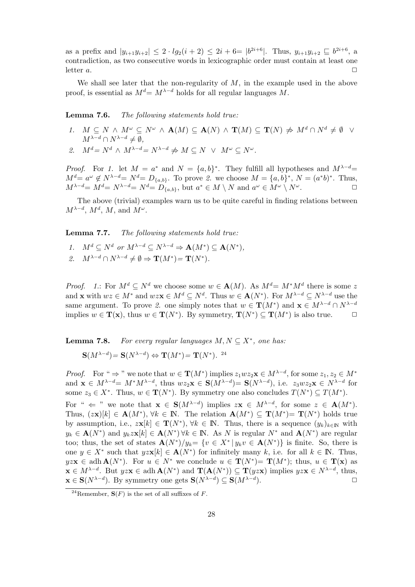as a prefix and  $|y_{i+1}y_{i+2}| \leq 2 \cdot lg_2(i+2) \leq 2i+6= |b^{2i+6}|$ . Thus,  $y_{i+1}y_{i+2} \sqsubseteq b^{2i+6}$ , a contradiction, as two consecutive words in lexicographic order must contain at least one letter  $a$ .

We shall see later that the non-regularity of  $M$ , in the example used in the above proof, is essential as  $M^d = M^{\lambda-d}$  holds for all regular languages M.

**Lemma 7.6.** The following statements hold true:

1.  $M \subseteq N \wedge M^{\omega} \subseteq N^{\omega} \wedge \mathbf{A}(M) \subseteq \mathbf{A}(N) \wedge \mathbf{T}(M) \subseteq \mathbf{T}(N) \not\Rightarrow M^d \cap N^d \neq \emptyset \quad \forall$  $M^{\lambda-d} \cap N^{\lambda-d} \neq \emptyset$ , 2.  $M^d = N^d \wedge M^{\lambda - d} = N^{\lambda - d} \neq M \subseteq N \vee M^{\omega} \subseteq N^{\omega}$ .

*Proof.* For 1. let  $M = a^*$  and  $N = \{a, b\}^*$ . They fulfill all hypotheses and  $M^{\lambda-d}$  $M^d = a^{\omega} \notin N^{\lambda - d} = N^d = D_{\{a,b\}}.$  To prove 2. we choose  $M = \{a,b\}^*, N = (a^*b)^*$ . Thus,  $M^{\lambda-d} = M^d = N^{\lambda-d} = N^d = D_{\{a,b\}},$  but  $a^* \in M \setminus N$  and  $a^{\omega} \in M^{\omega} \setminus N^{\omega}$ .

The above (trivial) examples warn us to be quite careful in finding relations between  $M^{\lambda-d}$ ,  $M^d$ ,  $M$ , and  $M^{\omega}$ .

**Lemma 7.7.** The following statements hold true:

- 1.  $M^d \subset N^d$  or  $M^{\lambda-d} \subset N^{\lambda-d} \Rightarrow \mathbf{A}(M^*) \subset \mathbf{A}(N^*).$
- 2.  $M^{\lambda-d} \cap N^{\lambda-d} \neq \emptyset \Rightarrow T(M^*) = T(N^*)$ .

*Proof.* 1.: For  $M^d \subseteq N^d$  we choose some  $w \in A(M)$ . As  $M^d = M^*M^d$  there is some z and **x** with  $wz \in M^*$  and  $wz\mathbf{x} \in M^d \subseteq N^d$ . Thus  $w \in \mathbf{A}(N^*)$ . For  $M^{\lambda-d} \subseteq N^{\lambda-d}$  use the same argument. To prove 2. one simply notes that  $w \in \mathbf{T}(M^*)$  and  $\mathbf{x} \in M^{\lambda-d} \cap N^{\lambda-d}$ implies  $w \in \mathbf{T}(\mathbf{x})$ , thus  $w \in \mathbf{T}(N^*)$ . By symmetry,  $\mathbf{T}(N^*) \subseteq \mathbf{T}(M^*)$  is also true.

**Lemma 7.8.** For every regular languages  $M, N \subseteq X^*$ , one has:

$$
\mathbf{S}(M^{\lambda-d}) = \mathbf{S}(N^{\lambda-d}) \Leftrightarrow \mathbf{T}(M^*) = \mathbf{T}(N^*).
$$
<sup>24</sup>

*Proof.* For "  $\Rightarrow$  " we note that  $w \in \mathbf{T}(M^*)$  implies  $z_1wz_2\mathbf{x} \in M^{\lambda-d}$ , for some  $z_1, z_2 \in M^*$ and  $\mathbf{x} \in M^{\lambda-d} = M^*M^{\lambda-d}$ , thus  $wz_2\mathbf{x} \in \mathbf{S}(M^{\lambda-d}) = \mathbf{S}(N^{\lambda-d})$ , i.e.  $z_3wz_2\mathbf{x} \in N^{\lambda-d}$  for some  $z_3 \in X^*$ . Thus,  $w \in \mathbf{T}(N^*)$ . By symmetry one also concludes  $T(N^*) \subseteq T(M^*)$ .

For "  $\Leftarrow$  " we note that  $\mathbf{x} \in \mathbf{S}(M^{\lambda-d})$  implies  $z\mathbf{x} \in M^{\lambda-d}$ , for some  $z \in \mathbf{A}(M^*)$ . Thus,  $(z\mathbf{x})[k] \in \mathbf{A}(M^*)$ ,  $\forall k \in \mathbb{N}$ . The relation  $\mathbf{A}(M^*) \subseteq \mathbf{T}(M^*) = \mathbf{T}(N^*)$  holds true by assumption, i.e.,  $z\mathbf{x}[k] \in \mathbf{T}(N^*)$ ,  $\forall k \in \mathbb{N}$ . Thus, there is a sequence  $(y_k)_{k\in\mathbb{N}}$  with y<sup>k</sup> ∈ **A**(N<sup>∗</sup>) and ykz**x**[k] ∈ **A**(N<sup>∗</sup>) ∀k ∈ IN. As N is regular N<sup>∗</sup> and **A**(N<sup>∗</sup>) are regular too; thus, the set of states  $\mathbf{A}(N^*)/y_k = \{v \in X^* | y_kv \in \mathbf{A}(N^*)\}$  is finite. So, there is one  $y \in X^*$  such that  $yzx[k] \in \mathbf{A}(N^*)$  for infinitely many k, i.e. for all  $k \in \mathbb{N}$ . Thus,  $yzx \in \text{adh } \mathbf{A}(N^*)$ . For  $u \in N^*$  we conclude  $u \in \mathbf{T}(N^*) = \mathbf{T}(M^*)$ ; thus,  $u \in \mathbf{T}(x)$  as **x** ∈  $M^{\lambda-d}$ . But  $yzx \in \text{adh } \mathbf{A}(N^*)$  and  $\mathbf{T}(\mathbf{A}(N^*)) \subseteq \mathbf{T}(yzx)$  implies  $yzx \in N^{\lambda-d}$ , thus, **x** ∈ **S**( $N^{\lambda-d}$ ). By symmetry one gets **S**( $N^{\lambda-d}$ ) ⊆ **S**( $M^{\lambda-d}$ ).  $\Box$ 

<sup>&</sup>lt;sup>24</sup>Remember,  $S(F)$  is the set of all suffixes of F.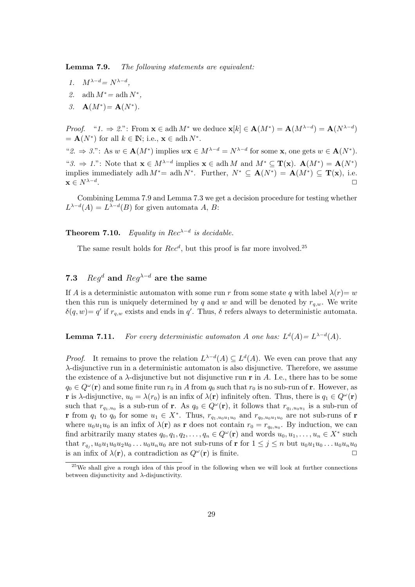**Lemma 7.9.** The following statements are equivalent:

- 1.  $M^{\lambda-d} = N^{\lambda-d}$ ,
- 2. adh  $M^* =$  adh  $N^*$ ,
- 3. **A** $(M^*) = A(N^*)$ .

*Proof.* " $1. \Rightarrow 2$ .": From  $\mathbf{x} \in \text{adh } M^*$  we deduce  $\mathbf{x}[k] \in \mathbf{A}(M^*) = \mathbf{A}(M^{\lambda-d}) = \mathbf{A}(N^{\lambda-d})$  $= \mathbf{A}(N^*)$  for all  $k \in \mathbb{N}$ ; i.e.,  $\mathbf{x} \in \text{adh } N^*$ . " $2. \Rightarrow 3$ ": As  $w \in \mathbf{A}(M^*)$  implies  $w\mathbf{x} \in M^{\lambda-d} = N^{\lambda-d}$  for some **x**, one gets  $w \in \mathbf{A}(N^*)$ . "3.  $\Rightarrow$  1.": Note that **x** ∈  $M^{\lambda-d}$  implies **x** ∈ adh M and  $M^* \subseteq T(\mathbf{x})$ .  $\mathbf{A}(M^*) = \mathbf{A}(N^*)$ implies immediately adh  $M^*$ = adh  $N^*$ . Further,  $N^* \subseteq A(N^*) = A(M^*) \subseteq T(x)$ , i.e.  $\mathbf{x} \in N^{\lambda-d}$ .

Combining Lemma 7.9 and Lemma 7.3 we get a decision procedure for testing whether  $L^{\lambda-d}(A) = L^{\lambda-d}(B)$  for given automata A, B:

**Theorem 7.10.** Equality in Rec<sup> $\lambda-d$ </sup> is decidable.

The same result holds for  $Rec<sup>d</sup>$ , but this proof is far more involved.<sup>25</sup>

# **7.3** Reg<sup>d</sup> **and** Reg<sup>λ</sup>−<sup>d</sup> **are the same**

If A is a deterministic automaton with some run r from some state q with label  $\lambda(r) = w$ then this run is uniquely determined by q and w and will be denoted by  $r_{a,w}$ . We write  $\delta(q, w) = q'$  if  $r_{q,w}$  exists and ends in q'. Thus,  $\delta$  refers always to deterministic automata.

**Lemma 7.11.** For every deterministic automaton A one has:  $L^d(A) = L^{\lambda-d}(A)$ .

*Proof.* It remains to prove the relation  $L^{\lambda-d}(A) \subseteq L^d(A)$ . We even can prove that any λ-disjunctive run in a deterministic automaton is also disjunctive. Therefore, we assume the existence of a  $\lambda$ -disjunctive but not disjunctive run **r** in A. I.e., there has to be some  $q_0 \in Q^{\omega}(\mathbf{r})$  and some finite run  $r_0$  in A from  $q_0$  such that  $r_0$  is no sub-run of **r**. However, as **r** is  $\lambda$ -disjunctive,  $u_0 = \lambda(r_0)$  is an infix of  $\lambda(\mathbf{r})$  infinitely often. Thus, there is  $q_1 \in Q^{\omega}(\mathbf{r})$ such that  $r_{q_1,u_0}$  is a sub-run of **r**. As  $q_0 \in Q^{\omega}(\mathbf{r})$ , it follows that  $r_{q_1,u_0u_1}$  is a sub-run of **r** from  $q_1$  to  $q_0$  for some  $u_1 \in X^*$ . Thus,  $r_{q_1,u_0u_1u_0}$  and  $r_{q_0,u_0u_1u_0}$  are not sub-runs of **r** where  $u_0u_1u_0$  is an infix of  $\lambda(\mathbf{r})$  as **r** does not contain  $r_0 = r_{q_0,u_0}$ . By induction, we can find arbitrarily many states  $q_0, q_1, q_2, \ldots, q_n \in Q^{\omega}(\mathbf{r})$  and words  $u_0, u_1, \ldots, u_n \in X^*$  such that  $r_{q_i}$ ,  $u_0u_1u_0u_2u_0 \ldots u_0u_nu_0$  are not sub-runs of **r** for  $1 \leq j \leq n$  but  $u_0u_1u_0 \ldots u_0u_nu_0$ is an infix of  $\lambda(\mathbf{r})$ , a contradiction as  $Q^{\omega}(\mathbf{r})$  is finite.

<sup>&</sup>lt;sup>25</sup>We shall give a rough idea of this proof in the following when we will look at further connections between disjunctivity and  $\lambda$ -disjunctivity.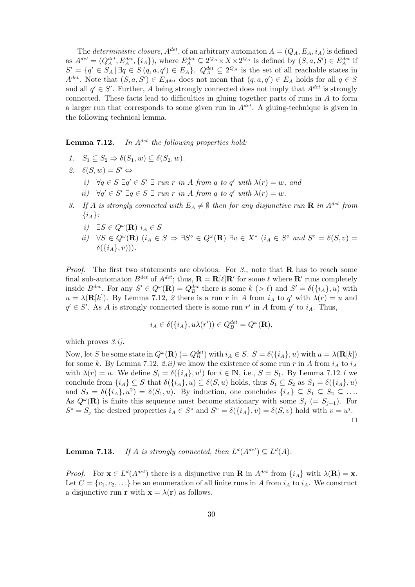The deterministic closure,  $A^{det}$ , of an arbitrary automaton  $A = (Q_A, E_A, i_A)$  is defined as  $A^{det} = (Q_A^{det}, E_A^{det}, \{i_A\})$ , where  $E_A^{det} \subseteq 2^{Q_A} \times X \times 2^{Q_A}$  is defined by  $(S, a, S') \in E_A^{det}$  if  $S' = \{q' \in S_A \mid \exists q \in S(q, a, q') \in E_A\}.$   $Q_A^{det} \subseteq 2^{Q_A}$  is the set of all reachable states in  $A^{det}$ . Note that  $(S, a, S') \in E_{A^{det}}$  does not mean that  $(q, a, q') \in E_A$  holds for all  $q \in S$ and all  $q' \in S'$ . Further, A being strongly connected does not imply that  $A^{det}$  is strongly connected. These facts lead to difficulties in gluing together parts of runs in A to form a larger run that corresponds to some given run in  $A^{det}$ . A gluing-technique is given in the following technical lemma.

**Lemma 7.12.** In  $A^{det}$  the following properties hold:

- 1.  $S_1 \subseteq S_2 \Rightarrow \delta(S_1, w) \subseteq \delta(S_2, w)$ .
- 2.  $\delta(S, w) = S' \Leftrightarrow$ 
	- i)  $\forall q \in S \; \exists q' \in S' \; \exists \; run \; r \; in \; A \; from \; q \; to \; q' \; with \; \lambda(r) = w, \; and$
	- ii)  $\forall q' \in S' \; \exists q \in S \; \exists run \; r \; in \; A \; from \; q \; to \; q' \; with \; \lambda(r) = w.$
- 3. If A is strongly connected with  $E_A \neq \emptyset$  then for any disjunctive run **R** in A<sup>det</sup> from  $\{i_A\}$ :
	- *i*)  $\exists S \in Q^{\omega}(\mathbf{R})$   $i_A \in S$
	- ii)  $\forall S \in Q^{\omega}(\mathbf{R})$   $(i_A \in S \Rightarrow \exists S^{\circ} \in Q^{\omega}(\mathbf{R}) \exists v \in X^*$   $(i_A \in S^{\circ} \text{ and } S^{\circ} = \delta(S, v) =$  $\delta({i_A}, v))$ .

*Proof.* The first two statements are obvious. For  $\beta$ , note that **R** has to reach some final sub-automaton  $B^{det}$  of  $A^{det}$ ; thus,  $\mathbf{R} = \mathbf{R}[\ell] \mathbf{R}'$  for some  $\ell$  where  $\mathbf{R}'$  runs completely inside  $B^{det}$ . For any  $S' \in Q^{\omega}(\mathbf{R}) = Q_B^{det}$  there is some  $k > \ell$  and  $S' = \delta({i_A}, u)$  with  $u = \lambda(\mathbf{R}[k])$ . By Lemma 7.12, 2 there is a run r in A from  $i_A$  to q' with  $\lambda(r) = u$  and  $q' \in S'$ . As A is strongly connected there is some run r' in A from  $q'$  to  $i_A$ . Thus,

$$
i_A \in \delta(\{i_A\}, u\lambda(r')) \in Q^{det}_B = Q^{\omega}(\mathbf{R}),
$$

which proves  $3.i$ .

Now, let S be some state in  $Q^{\omega}(\mathbf{R}) (= Q_B^{det})$  with  $i_A \in S$ .  $S = \delta({i_A}, u)$  with  $u = \lambda(\mathbf{R}[k])$ for some k. By Lemma 7.12, 2.ii) we know the existence of some run r in A from  $i_A$  to  $i_A$ with  $\lambda(r) = u$ . We define  $S_i = \delta(\{i_A\}, u^i)$  for  $i \in \mathbb{N}$ , i.e.,  $S = S_1$ . By Lemma 7.12.1 we conclude from  $\{i_A\} \subseteq S$  that  $\delta(\{i_A\}, u) \subseteq \delta(S, u)$  holds, thus  $S_1 \subseteq S_2$  as  $S_1 = \delta(\{i_A\}, u)$ and  $S_2 = \delta({i_A}, u^2) = \delta(S_1, u)$ . By induction, one concludes  ${i_A} \subseteq S_1 \subseteq S_2 \subseteq \ldots$ As  $Q^{\omega}(\mathbf{R})$  is finite this sequence must become stationary with some  $S_i$  (=  $S_{i+1}$ ). For  $S^{\circ} = S_j$  the desired properties  $i_A \in S^{\circ}$  and  $S^{\circ} = \delta({i_A}, v) = \delta(S, v)$  hold with  $v = u^j$ .  $\Box$ 

**Lemma 7.13.** If A is strongly connected, then  $L^d(A^{det}) \subseteq L^d(A)$ .

*Proof.* For  $\mathbf{x} \in L^d(A^{det})$  there is a disjunctive run **R** in  $A^{det}$  from  $\{i_A\}$  with  $\lambda(\mathbf{R}) = \mathbf{x}$ . Let  $C = \{c_1, c_2, \ldots\}$  be an enumeration of all finite runs in A from  $i_A$  to  $i_A$ . We construct a disjunctive run **r** with  $\mathbf{x} = \lambda(\mathbf{r})$  as follows.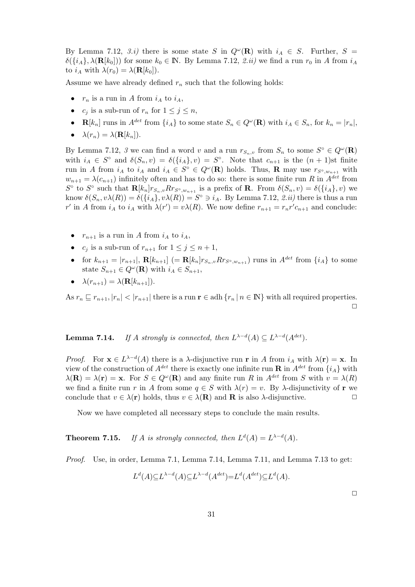By Lemma 7.12, 3.*i*) there is some state S in  $Q^{\omega}(\mathbf{R})$  with  $i_A \in S$ . Further, S =  $\delta({i_A}, \lambda({\bf R}[k_0]))$  for some  $k_0 \in \mathbb{N}$ . By Lemma 7.12, 2.*ii*) we find a run  $r_0$  in A from  $i_A$ to  $i_A$  with  $\lambda(r_0) = \lambda(\mathbf{R}[k_0]).$ 

Assume we have already defined  $r_n$  such that the following holds:

- $r_n$  is a run in A from  $i_A$  to  $i_A$ ,
- $c_i$  is a sub-run of  $r_n$  for  $1 \leq j \leq n$ ,
- **R**[ $k_n$ ] runs in  $A^{det}$  from  $\{i_A\}$  to some state  $S_n \in Q^{\omega}(\mathbf{R})$  with  $i_A \in S_n$ , for  $k_n = |r_n|$ ,
- $\lambda(r_n) = \lambda(\mathbf{R}[k_n]).$

By Lemma 7.12, 3 we can find a word v and a run  $r_{S_n,v}$  from  $S_n$  to some  $S^\circ \in Q^\omega(\mathbf{R})$ with  $i_A \in S^{\circ}$  and  $\delta(S_n, v) = \delta({i_A}, v) = S^{\circ}$ . Note that  $c_{n+1}$  is the  $(n+1)$ st finite run in A from  $i_A$  to  $i_A$  and  $i_A \in S^\circ \in Q^\omega(\mathbf{R})$  holds. Thus, **R** may use  $r_{S^\circ,w_{n+1}}$  with  $w_{n+1} = \lambda(c_{n+1})$  infinitely often and has to do so: there is some finite run R in  $A^{det}$  from  $S^{\circ}$  to  $S^{\circ}$  such that  $\mathbf{R}[k_n]r_{S_n,v}Rr_{S^{\circ},w_{n+1}}$  is a prefix of **R**. From  $\delta(S_n, v) = \delta(\{i_A\}, v)$  we know  $\delta(S_n, v\lambda(R)) = \delta({i_A}, v\lambda(R)) = S^\circ \ni i_A$ . By Lemma 7.12, 2.*ii*) there is thus a run r' in A from  $i_A$  to  $i_A$  with  $\lambda(r') = v\lambda(R)$ . We now define  $r_{n+1} = r_n r' c_{n+1}$  and conclude:

- $r_{n+1}$  is a run in A from  $i_A$  to  $i_A$ ,
- $c_i$  is a sub-run of  $r_{n+1}$  for  $1 \leq j \leq n+1$ ,
- for  $k_{n+1} = |r_{n+1}|$ ,  $\mathbf{R}[k_{n+1}]$  (=  $\mathbf{R}[k_n]r_{S_n,v}Rr_{S^\circ,w_{n+1}}$ ) runs in  $A^{det}$  from  $\{i_A\}$  to some state  $S_{n+1} \in Q^{\omega}(\mathbf{R})$  with  $i_A \in S_{n+1}$ ,
- $\lambda(r_{n+1}) = \lambda(\mathbf{R}[k_{n+1}]).$

As  $r_n \nightharpoonup r_{n+1}$ ,  $|r_n| < |r_{n+1}|$  there is a run  $r \in$  adh  $\{r_n | n \in \mathbb{N}\}\$  with all required properties.  $\Box$ 

**Lemma 7.14.** If A strongly is connected, then  $L^{\lambda-d}(A) \subseteq L^{\lambda-d}(A^{det})$ .

Proof. For  $\mathbf{x} \in L^{\lambda-d}(A)$  there is a  $\lambda$ -disjunctive run **r** in A from  $i_A$  with  $\lambda(\mathbf{r}) = \mathbf{x}$ . In view of the construction of  $A^{det}$  there is exactly one infinite run **R** in  $A^{det}$  from  $\{i_A\}$  with  $\lambda(\mathbf{R}) = \lambda(\mathbf{r}) = \mathbf{x}$ . For  $S \in Q^{\omega}(\mathbf{R})$  and any finite run R in  $A^{det}$  from S with  $v = \lambda(R)$ we find a finite run r in A from some  $q \in S$  with  $\lambda(r) = v$ . By  $\lambda$ -disjunctivity of **r** we conclude that  $v \in \lambda(\mathbf{r})$  holds, thus  $v \in \lambda(\mathbf{R})$  and **R** is also  $\lambda$ -disjunctive.

Now we have completed all necessary steps to conclude the main results.

**Theorem 7.15.** If A is strongly connected, then  $L^d(A) = L^{\lambda-d}(A)$ .

Proof. Use, in order, Lemma 7.1, Lemma 7.14, Lemma 7.11, and Lemma 7.13 to get:

$$
L^{d}(A) \subseteq L^{\lambda-d}(A) \subseteq L^{\lambda-d}(A^{det}) = L^{d}(A^{det}) \subseteq L^{d}(A).
$$

 $\Box$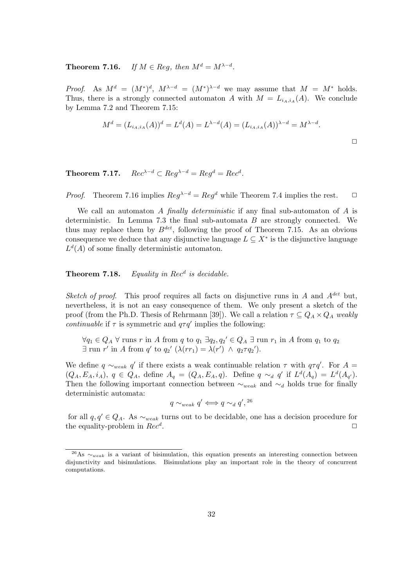**Theorem 7.16.** If  $M \in \text{Re}q$ , then  $M^d = M^{\lambda-d}$ .

*Proof.* As  $M^d = (M^*)^d$ ,  $M^{\lambda-d} = (M^*)^{\lambda-d}$  we may assume that  $M = M^*$  holds. Thus, there is a strongly connected automaton A with  $M = L_{i_A,i_A}(A)$ . We conclude by Lemma 7.2 and Theorem 7.15:

$$
M^{d} = (L_{i_A, i_A}(A))^d = L^{d}(A) = L^{\lambda - d}(A) = (L_{i_A, i_A}(A))^{\lambda - d} = M^{\lambda - d}.
$$

**Theorem 7.17.**  $Rec^{\lambda-d} \subset Req^{\lambda-d} = Req^d = Rec^d$ .

*Proof.* Theorem 7.16 implies  $\text{Re}q^{\lambda-d} = \text{Re}q^d$  while Theorem 7.4 implies the rest.  $\Box$ 

We call an automaton A finally deterministic if any final sub-automaton of A is deterministic. In Lemma 7.3 the final sub-automata  $B$  are strongly connected. We thus may replace them by  $B^{det}$ , following the proof of Theorem 7.15. As an obvious consequence we deduce that any disjunctive language  $L \subseteq X^*$  is the disjunctive language  $L<sup>d</sup>(A)$  of some finally deterministic automaton.

## **Theorem 7.18.** Equality in  $Rec<sup>d</sup>$  is decidable.

Sketch of proof. This proof requires all facts on disjunctive runs in A and  $A^{det}$  but, nevertheless, it is not an easy consequence of them. We only present a sketch of the proof (from the Ph.D. Thesis of Rehrmann [39]). We call a relation  $\tau \subseteq Q_A \times Q_A$  weakly *continuable* if  $\tau$  is symmetric and  $q\tau q'$  implies the following:

 $\forall q_1 \in Q_A \; \forall \; \text{runs } r \text{ in } A \text{ from } q \text{ to } q_1 \; \exists q_2, q_2' \in Q_A \; \exists \; \text{run } r_1 \text{ in } A \text{ from } q_1 \text{ to } q_2$  $\exists$  run r' in A from q' to  $q_2'$   $(\lambda(rr_1) = \lambda(r') \land q_2 \tau q_2')$ .

We define  $q \sim_{weak} q'$  if there exists a weak continuable relation  $\tau$  with  $q\tau q'$ . For  $A =$  $(Q_A, E_A, i_A), q \in Q_A$ , define  $A_q = (Q_A, E_A, q)$ . Define  $q \sim_d q'$  if  $L^d(A_q) = L^d(A_{q'})$ . Then the following important connection between  $\sim_{weak}$  and  $\sim_d$  holds true for finally deterministic automata:

$$
q\sim_{weak} q'\Longleftrightarrow q\sim_d q',{}^{26}
$$

for all  $q, q' \in Q_A$ . As  $\sim_{weak}$  turns out to be decidable, one has a decision procedure for the equality-problem in  $Rec^d$ .

 $\frac{26}{16}$  ∴  $\sim_{weak}$  is a variant of bisimulation, this equation presents an interesting connection between disjunctivity and bisimulations. Bisimulations play an important role in the theory of concurrent computations.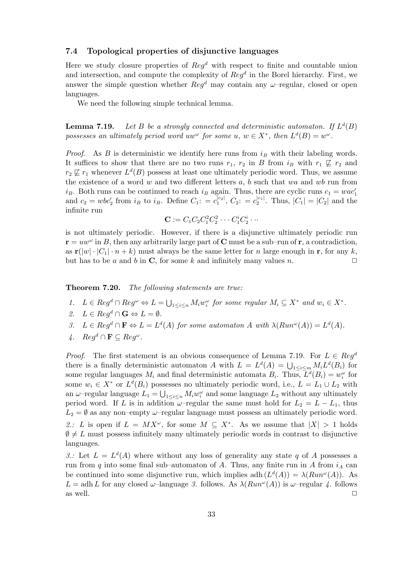#### **7.4 Topological properties of disjunctive languages**

Here we study closure properties of  $\text{Re}q^d$  with respect to finite and countable union and intersection, and compute the complexity of  $Reg<sup>d</sup>$  in the Borel hierarchy. First, we answer the simple question whether  $\text{Reg}^d$  may contain any  $\omega$ -regular, closed or open languages.

We need the following simple technical lemma.

**Lemma 7.19.** Let B be a strongly connected and deterministic automaton. If  $L^d(B)$ possesses an ultimately period word uw<sup> $\omega$ </sup> for some u,  $w \in X^*$ , then  $L^d(B) = w^{\omega}$ .

*Proof.* As B is deterministic we identify here runs from  $i_B$  with their labeling words. It suffices to show that there are no two runs  $r_1$ ,  $r_2$  in B from  $i_B$  with  $r_1 \not\sqsubseteq r_2$  and  $r_2 \not\sqsubseteq r_1$  whenever  $L^d(B)$  possess at least one ultimately periodic word. Thus, we assume the existence of a word  $w$  and two different letters  $a, b$  such that  $wa$  and  $wb$  run from  $i_B$ . Both runs can be continued to reach  $i_B$  again. Thus, there are cyclic runs  $c_1 = wac'_1$  and  $c_2 = wbc'_2$  from  $i_B$  to  $i_B$ . Define  $C_1$ :  $= c_1^{|c_2|}$ ,  $C_2$ :  $= c_2^{|c_1|}$ . Thus,  $|C_1| = |C_2|$  and the infinite run

$$
\mathbf{C} := C_1 C_2 C_1^2 C_2^2 \cdots C_1^i C_2^i \cdots
$$

is not ultimately periodic. However, if there is a disjunctive ultimately periodic run  $\mathbf{r} = uw^{\omega}$  in B, then any arbitrarily large part of **C** must be a sub–run of **r**, a contradiction, as  $\mathbf{r}(|w| \cdot |C_1| \cdot n + k)$  must always be the same letter for n large enough in **r**, for any k, but has to be a and b in **C**, for some k and infinitely many values n.  $\square$ 

**Theorem 7.20.** The following statements are true:

- 1.  $L \in Reg^d \cap Reg^{\omega} \Leftrightarrow L = \bigcup_{1 \leq i \leq n} M_i w_i^{\omega}$  for some regular  $M_i \subseteq X^*$  and  $w_i \in X^*$ .
- 2.  $L \in \text{Re} q^d \cap \mathbf{G} \Leftrightarrow L = \emptyset$ .
- 3.  $L \in \text{Re} q^d \cap \mathbf{F} \Leftrightarrow L = L^d(A)$  for some automaton A with  $\lambda(\text{Run}^{\omega}(A)) = L^d(A)$ .
- 4.  $Req^d$  ∩ **F** ⊂  $Req^{\omega}$ .

*Proof.* The first statement is an obvious consequence of Lemma 7.19. For  $L \in Reg^d$ there is a finally deterministic automaton A with  $L = L<sup>d</sup>(A) = \bigcup_{1 \leq i \leq m} M_i L<sup>d</sup>(B_i)$  for some regular languages  $M_i$  and final deterministic automata  $B_i$ . Thus,  $L^d(B_i) = w_i^{\omega}$  for some  $w_i \in X^*$  or  $L^d(B_i)$  possesses no ultimately periodic word, i.e.,  $L = L_1 \cup L_2$  with an  $\omega$ -regular language  $L_1 = \bigcup_{1 \leq i \leq n} M_i w_i^{\omega}$  and some language  $L_2$  without any ultimately period word. If L is in addition  $\omega$ –regular the same must hold for  $L_2 = L - L_1$ , thus  $L_2 = \emptyset$  as any non–empty  $\omega$ –regular language must possess an ultimately periodic word. 2.: L is open if  $L = MX^\omega$ , for some  $M \subseteq X^*$ . As we assume that  $|X| > 1$  holds  $\emptyset \neq L$  must possess infinitely many ultimately periodic words in contrast to disjunctive languages.

3.: Let  $L = L<sup>d</sup>(A)$  where without any loss of generality any state q of A possesses a run from q into some final sub–automaton of A. Thus, any finite run in A from  $i_A$  can be continued into some disjunctive run, which implies adh  $(L<sup>d</sup>(A)) = \lambda(Run^{\omega}(A))$ . As  $L = adh L$  for any closed  $\omega$ -language 3. follows. As  $\lambda(Run^{\omega}(A))$  is  $\omega$ -regular 4. follows as well.  $\Box$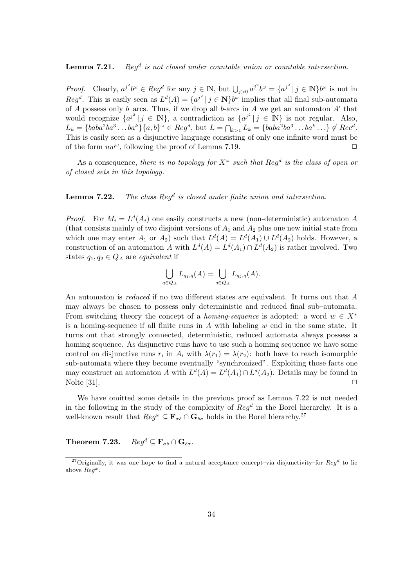### Lemma 7.21. Reg<sup>d</sup> is not closed under countable union or countable intersection.

*Proof.* Clearly,  $a^{j^2}b^{\omega} \in Reg^d$  for any  $j \in \mathbb{N}$ , but  $\bigcup_{j>0} a^{j^2}b^{\omega} = \{a^{j^2} \mid j \in \mathbb{N}\}b^{\omega}$  is not in  $Reg^d$ . This is easily seen as  $L^d(A) = \{a^{j^2} \mid j \in \mathbb{N}\}\$ b<sup>w</sup> implies that all final sub-automata of A possess only b–arcs. Thus, if we drop all b-arcs in A we get an automaton  $A'$  that would recognize  $\{a^{j^2} | j \in \mathbb{N}\}\$ , a contradiction as  $\{a^{j^2} | j \in \mathbb{N}\}\$  is not regular. Also,  $L_k = \{baba^2ba^3 \dots ba^k\}\{a, b\}^\omega \in Reg^d$ , but  $L = \bigcap_{k>1} L_k = \{baba^2ba^3 \dots ba^k \dots\} \notin Rec^d$ . This is easily seen as a disjunctive language consisting of only one infinite word must be of the form  $uw^{\omega}$ , following the proof of Lemma 7.19.

As a consequence, there is no topology for  $X^{\omega}$  such that Reg<sup>d</sup> is the class of open or of closed sets in this topology.

**Lemma 7.22.** The class  $Reg<sup>d</sup>$  is closed under finite union and intersection.

*Proof.* For  $M_i = L^d(A_i)$  one easily constructs a new (non-deterministic) automaton A (that consists mainly of two disjoint versions of  $A_1$  and  $A_2$  plus one new initial state from which one may enter  $A_1$  or  $A_2$ ) such that  $L^d(A) = L^d(A_1) \cup L^d(A_2)$  holds. However, a construction of an automaton A with  $L^{d}(A) = L^{d}(A_1) \cap L^{d}(A_2)$  is rather involved. Two states  $q_1, q_2 \in Q_A$  are equivalent if

$$
\bigcup_{q\in Q_A} L_{q_1,q}(A)=\bigcup_{q\in Q_A} L_{q_2,q}(A).
$$

An automaton is *reduced* if no two different states are equivalent. It turns out that A may always be chosen to possess only deterministic and reduced final sub–automata. From switching theory the concept of a *homing-sequence* is adopted: a word  $w \in X^*$ is a homing-sequence if all finite runs in  $A$  with labeling  $w$  end in the same state. It turns out that strongly connected, deterministic, reduced automata always possess a homing sequence. As disjunctive runs have to use such a homing sequence we have some control on disjunctive runs  $r_i$  in  $A_i$  with  $\lambda(r_1) = \lambda(r_2)$ : both have to reach isomorphic sub-automata where they become eventually "synchronized". Exploiting those facts one may construct an automaton A with  $L^{d}(A) = L^{d}(A_1) \cap L^{d}(A_2)$ . Details may be found in Nolte [31].  $\Box$ 

We have omitted some details in the previous proof as Lemma 7.22 is not needed in the following in the study of the complexity of  $Reg<sup>d</sup>$  in the Borel hierarchy. It is a well-known result that  $Reg^{\omega} \subseteq \mathbf{F}_{\sigma\delta} \cap \mathbf{G}_{\delta\sigma}$  holds in the Borel hierarchy.<sup>27</sup>

**Theorem 7.23.**  $Req^d \n\subseteq \mathbf{F}_{\sigma\delta} \cap \mathbf{G}_{\delta\sigma}$ .

<sup>&</sup>lt;sup>27</sup>Originally, it was one hope to find a natural acceptance concept–via disjunctivity–for  $Reg^d$  to lie above  $Reg^{\omega}$ .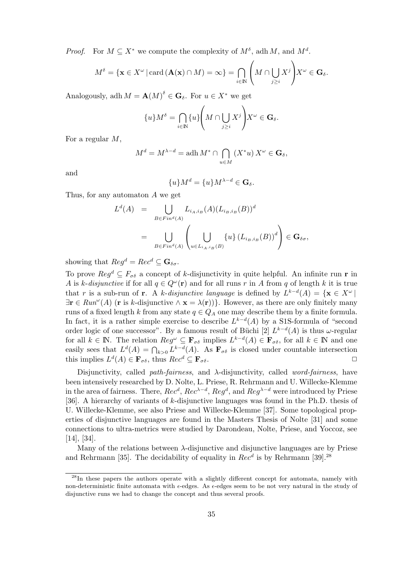*Proof.* For  $M \subseteq X^*$  we compute the complexity of  $M^{\delta}$ , adh M, and  $M^d$ .

$$
M^{\delta} = \{ \mathbf{x} \in X^{\omega} \mid \text{card}\left(\mathbf{A}(\mathbf{x}) \cap M\right) = \infty \} = \bigcap_{i \in \mathbb{N}} \left( M \cap \bigcup_{j \geq i} X^{j} \right) X^{\omega} \in \mathbf{G}_{\delta}.
$$

Analogously, adh  $M = \mathbf{A}(M)^{\delta} \in \mathbf{G}_{\delta}$ . For  $u \in X^*$  we get

$$
\{u\}M^{\delta} = \bigcap_{i \in \mathbb{N}} \{u\} \Bigg( M \cap \bigcup_{j \geq i} X^j \Bigg) X^{\omega} \in \mathbf{G}_{\delta}.
$$

For a regular M,

$$
M^d = M^{\lambda - d} = \operatorname{adh} M^* \cap \bigcap_{u \in M} (X^* u) X^\omega \in \mathbf{G}_\delta,
$$

and

$$
\{u\}M^d = \{u\}M^{\lambda - d} \in \mathbf{G}_{\delta}.
$$

Thus, for any automaton A we get

$$
L^{d}(A) = \bigcup_{B \in Fin^{d}(A)} L_{i_A, i_B}(A) (L_{i_B, i_B}(B))^d
$$
  
= 
$$
\bigcup_{B \in Fin^{d}(A)} \left( \bigcup_{u \in L_{i_A, i_B}(B)} \{u\} (L_{i_B, i_B}(B))^d \right) \in \mathbf{G}_{\delta\sigma},
$$

showing that  $\text{Re} q^d = \text{Re} c^d \subseteq \mathbf{G}_{\delta \sigma}$ .

To prove  $Reg^d \subseteq F_{\sigma\delta}$  a concept of k-disjunctivity in quite helpful. An infinite run **r** in A is k-disjunctive if for all  $q \in Q^{\omega}(\mathbf{r})$  and for all runs r in A from q of length k it is true that r is a sub-run of **r**. A k-disjunctive language is defined by  $L^{k-d}(A) = \{ \mathbf{x} \in X^{\omega} \mid$  $\exists$ **r**  $\in$  Run<sup>ω</sup>(A) (**r** is k-disjunctive  $\wedge$ **x** =  $\lambda$ (**r**))}. However, as there are only finitely many runs of a fixed length k from any state  $q \in Q_A$  one may describe them by a finite formula. In fact, it is a rather simple exercise to describe  $L^{k-d}(A)$  by a S1S-formula of "second" order logic of one successor". By a famous result of Büchi [2]  $L^{k-d}(A)$  is thus  $\omega$ -regular for all  $k \in \mathbb{N}$ . The relation  $Reg^{\omega} \subseteq \mathbf{F}_{\sigma\delta}$  implies  $L^{k-d}(A) \in \mathbf{F}_{\sigma\delta}$ , for all  $k \in \mathbb{N}$  and one easily sees that  $L^d(A) = \bigcap_{k>0} L^{k-d}(A)$ . As  $\mathbf{F}_{\sigma\delta}$  is closed under countable intersection this implies  $L^d(A) \in \mathbf{F}_{\sigma\delta}$ , thus  $Rec^d \subseteq \mathbf{F}_{\sigma\delta}$ .

Disjunctivity, called *path-fairness*, and  $\lambda$ -disjunctivity, called *word-fairness*, have been intensively researched by D. Nolte, L. Priese, R. Rehrmann and U. Willecke-Klemme in the area of fairness. There,  $Rec^d$ ,  $Rec^{\lambda-d}$ ,  $Reg^d$ , and  $Reg^{\lambda-d}$  were introduced by Priese [36]. A hierarchy of variants of k-disjunctive languages was found in the Ph.D. thesis of U. Willecke-Klemme, see also Priese and Willecke-Klemme [37]. Some topological properties of disjunctive languages are found in the Masters Thesis of Nolte [31] and some connections to ultra-metrics were studied by Darondeau, Nolte, Priese, and Yoccoz, see [14], [34].

Many of the relations between  $\lambda$ -disjunctive and disjunctive languages are by Priese and Rehrmann [35]. The decidability of equality in  $Rec<sup>d</sup>$  is by Rehrmann [39].<sup>28</sup>

<sup>&</sup>lt;sup>28</sup>In these papers the authors operate with a slightly different concept for automata, namely with non-deterministic finite automata with  $\epsilon$ -edges. As  $\epsilon$ -edges seem to be not very natural in the study of disjunctive runs we had to change the concept and thus several proofs.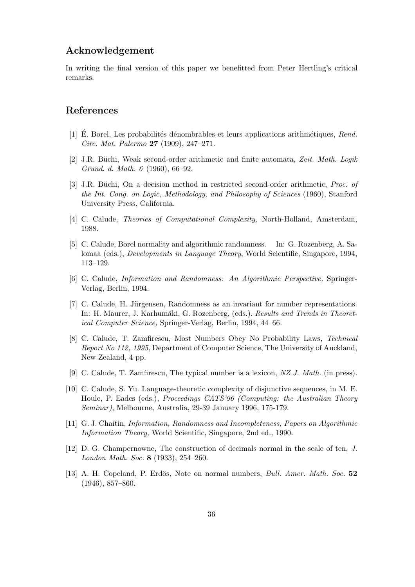## **Acknowledgement**

In writing the final version of this paper we benefitted from Peter Hertling's critical remarks.

## **References**

- [1] E. Borel, Les probabilités dénombrables et leurs applications arithmétiques, Rend. Circ. Mat. Palermo **27** (1909), 247–271.
- [2] J.R. Büchi, Weak second-order arithmetic and finite automata, Zeit. Math. Logik Grund. d. Math. 6 (1960), 66–92.
- [3] J.R. Büchi, On a decision method in restricted second-order arithmetic, *Proc. of* the Int. Cong. on Logic, Methodology, and Philosophy of Sciences (1960), Stanford University Press, California.
- [4] C. Calude, *Theories of Computational Complexity*, North-Holland, Amsterdam, 1988.
- [5] C. Calude, Borel normality and algorithmic randomness. In: G. Rozenberg, A. Salomaa (eds.), Developments in Language Theory, World Scientific, Singapore, 1994, 113–129.
- [6] C. Calude, Information and Randomness: An Algorithmic Perspective, Springer-Verlag, Berlin, 1994.
- [7] C. Calude, H. Jürgensen, Randomness as an invariant for number representations. In: H. Maurer, J. Karhumäki, G. Rozenberg, (eds.). Results and Trends in Theoretical Computer Science, Springer-Verlag, Berlin, 1994, 44–66.
- [8] C. Calude, T. Zamfirescu, Most Numbers Obey No Probability Laws, Technical Report No 112, 1995, Department of Computer Science, The University of Auckland, New Zealand, 4 pp.
- [9] C. Calude, T. Zamfirescu, The typical number is a lexicon, NZ J. Math. (in press).
- [10] C. Calude, S. Yu. Language-theoretic complexity of disjunctive sequences, in M. E. Houle, P. Eades (eds.), Proceedings CATS'96 (Computing: the Australian Theory Seminar), Melbourne, Australia, 29-39 January 1996, 175-179.
- [11] G. J. Chaitin, Information, Randomness and Incompleteness, Papers on Algorithmic Information Theory, World Scientific, Singapore, 2nd ed., 1990.
- [12] D. G. Champernowne, The construction of decimals normal in the scale of ten, J. London Math. Soc. **8** (1933), 254–260.
- [13] A. H. Copeland, P. Erdös, Note on normal numbers, *Bull. Amer. Math. Soc.* 52 (1946), 857–860.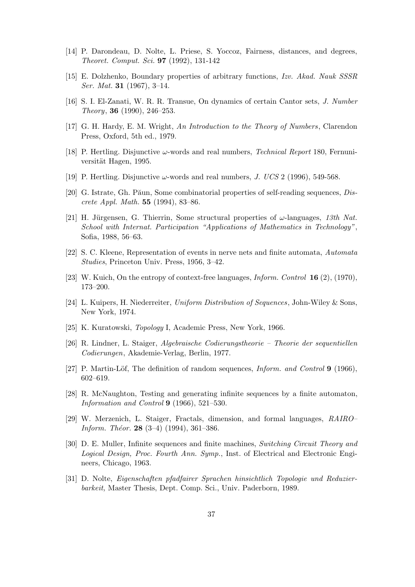- [14] P. Darondeau, D. Nolte, L. Priese, S. Yoccoz, Fairness, distances, and degrees, Theoret. Comput. Sci. **97** (1992), 131-142
- [15] E. Dolzhenko, Boundary properties of arbitrary functions, Izv. Akad. Nauk SSSR Ser. Mat. **31** (1967), 3–14.
- [16] S. I. El-Zanati, W. R. R. Transue, On dynamics of certain Cantor sets, J. Number Theory, **36** (1990), 246–253.
- [17] G. H. Hardy, E. M. Wright, An Introduction to the Theory of Numbers, Clarendon Press, Oxford, 5th ed., 1979.
- [18] P. Hertling. Disjunctive  $\omega$ -words and real numbers, *Technical Report* 180, Fernuniversität Hagen, 1995.
- [19] P. Hertling. Disjunctive  $\omega$ -words and real numbers, J. UCS 2 (1996), 549-568.
- [20] G. Istrate, Gh. Păun, Some combinatorial properties of self-reading sequences,  $Dis$ crete Appl. Math. **55** (1994), 83–86.
- [21] H. Jürgensen, G. Thierrin, Some structural properties of  $\omega$ -languages, 13th Nat. School with Internat. Participation "Applications of Mathematics in Technology", Sofia, 1988, 56–63.
- [22] S. C. Kleene, Representation of events in nerve nets and finite automata, Automata Studies, Princeton Univ. Press, 1956, 3–42.
- [23] W. Kuich, On the entropy of context-free languages, Inform. Control **16** (2), (1970), 173–200.
- [24] L. Kuipers, H. Niederreiter, Uniform Distribution of Sequences, John-Wiley & Sons, New York, 1974.
- [25] K. Kuratowski, Topology I, Academic Press, New York, 1966.
- [26] R. Lindner, L. Staiger, Algebraische Codierungstheorie Theorie der sequentiellen Codierungen, Akademie-Verlag, Berlin, 1977.
- [27] P. Martin-Löf, The definition of random sequences, *Inform. and Control* **9** (1966), 602–619.
- [28] R. McNaughton, Testing and generating infinite sequences by a finite automaton, Information and Control **9** (1966), 521–530.
- [29] W. Merzenich, L. Staiger, Fractals, dimension, and formal languages, RAIRO– Inform. Theor. **28** (3–4) (1994), 361–386.
- [30] D. E. Muller, Infinite sequences and finite machines, Switching Circuit Theory and Logical Design, Proc. Fourth Ann. Symp., Inst. of Electrical and Electronic Engineers, Chicago, 1963.
- [31] D. Nolte, Eigenschaften pfadfairer Sprachen hinsichtlich Topologie und Reduzierbarkeit, Master Thesis, Dept. Comp. Sci., Univ. Paderborn, 1989.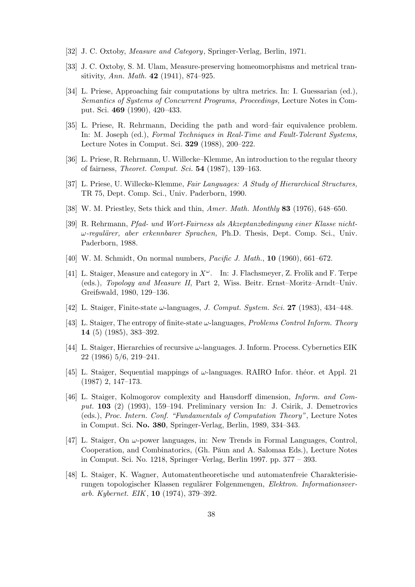- [32] J. C. Oxtoby, Measure and Category, Springer-Verlag, Berlin, 1971.
- [33] J. C. Oxtoby, S. M. Ulam, Measure-preserving homeomorphisms and metrical transitivity, Ann. Math. **42** (1941), 874–925.
- [34] L. Priese, Approaching fair computations by ultra metrics. In: I. Guessarian (ed.), Semantics of Systems of Concurrent Programs, Proceedings, Lecture Notes in Comput. Sci. **469** (1990), 420–433.
- [35] L. Priese, R. Rehrmann, Deciding the path and word–fair equivalence problem. In: M. Joseph (ed.), Formal Techniques in Real-Time and Fault-Tolerant Systems, Lecture Notes in Comput. Sci. **329** (1988), 200–222.
- [36] L. Priese, R. Rehrmann, U. Willecke–Klemme, An introduction to the regular theory of fairness, Theoret. Comput. Sci. **54** (1987), 139–163.
- [37] L. Priese, U. Willecke-Klemme, Fair Languages: A Study of Hierarchical Structures, TR 75, Dept. Comp. Sci., Univ. Paderborn, 1990.
- [38] W. M. Priestley, Sets thick and thin, Amer. Math. Monthly **83** (1976), 648–650.
- [39] R. Rehrmann, Pfad- und Wort-Fairness als Akzeptanzbedingung einer Klasse nicht- $\omega$ -regulärer, aber erkennbarer Sprachen, Ph.D. Thesis, Dept. Comp. Sci., Univ. Paderborn, 1988.
- [40] W. M. Schmidt, On normal numbers, Pacific J. Math., **10** (1960), 661–672.
- [41] L. Staiger, Measure and category in  $X^{\omega}$ . In: J. Flachsmeyer, Z. Frolik and F. Terpe (eds.), Topology and Measure II, Part 2, Wiss. Beitr. Ernst–Moritz–Arndt–Univ. Greifswald, 1980, 129–136.
- [42] L. Staiger, Finite-state ω-languages, J. Comput. System. Sci. **27** (1983), 434–448.
- [43] L. Staiger, The entropy of finite-state  $\omega$ -languages, *Problems Control Inform. Theory* **14** (5) (1985), 383–392.
- [44] L. Staiger, Hierarchies of recursive  $\omega$ -languages. J. Inform. Process. Cybernetics EIK 22 (1986) 5/6, 219–241.
- [45] L. Staiger, Sequential mappings of  $\omega$ -languages. RAIRO Infor. theor. et Appl. 21 (1987) 2, 147–173.
- [46] L. Staiger, Kolmogorov complexity and Hausdorff dimension, Inform. and Comput. **103** (2) (1993), 159–194. Preliminary version In: J. Csirik, J. Demetrovics (eds.), Proc. Intern. Conf. "Fundamentals of Computation Theory", Lecture Notes in Comput. Sci. **No. 380**, Springer-Verlag, Berlin, 1989, 334–343.
- [47] L. Staiger, On  $\omega$ -power languages, in: New Trends in Formal Languages, Control, Cooperation, and Combinatorics, (Gh. Păun and A. Salomaa Eds.), Lecture Notes in Comput. Sci. No. 1218, Springer–Verlag, Berlin 1997. pp. 377 – 393.
- [48] L. Staiger, K. Wagner, Automatentheoretische und automatenfreie Charakterisierungen topologischer Klassen regulärer Folgenmengen, Elektron. Informationsverarb. Kybernet. EIK, **10** (1974), 379–392.